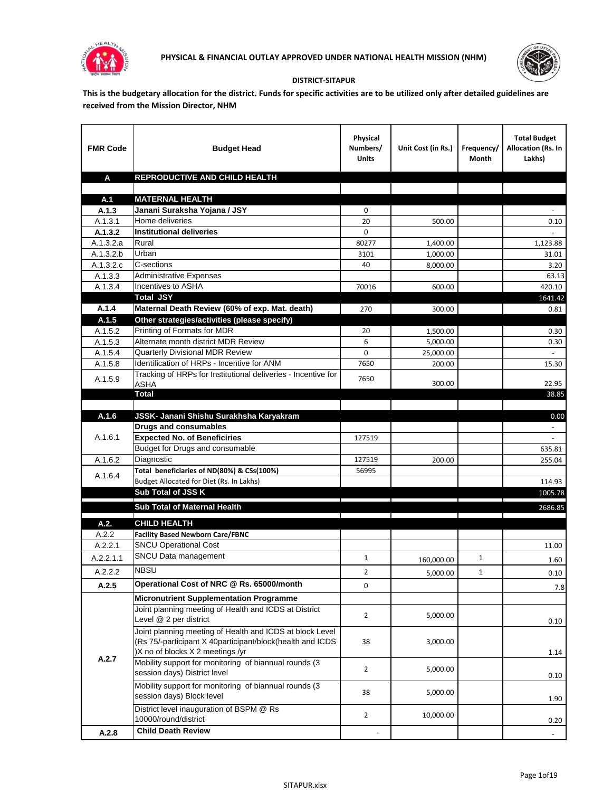



## **DISTRICT-SITAPUR**

**This is the budgetary allocation for the district. Funds for specific activities are to be utilized only after detailed guidelines are received from the Mission Director, NHM**

| <b>FMR Code</b>  | <b>Budget Head</b>                                                    | Physical<br>Numbers/<br><b>Units</b> | Unit Cost (in Rs.) | Frequency/<br>Month | <b>Total Budget</b><br><b>Allocation (Rs. In</b><br>Lakhs) |
|------------------|-----------------------------------------------------------------------|--------------------------------------|--------------------|---------------------|------------------------------------------------------------|
| A                | REPRODUCTIVE AND CHILD HEALTH                                         |                                      |                    |                     |                                                            |
|                  |                                                                       |                                      |                    |                     |                                                            |
| A.1              | <b>MATERNAL HEALTH</b>                                                |                                      |                    |                     |                                                            |
| A.1.3<br>A.1.3.1 | Janani Suraksha Yojana / JSY<br>Home deliveries                       | 0<br>20                              | 500.00             |                     | 0.10                                                       |
| A.1.3.2          | <b>Institutional deliveries</b>                                       | 0                                    |                    |                     |                                                            |
| A.1.3.2.a        | Rural                                                                 | 80277                                | 1,400.00           |                     | 1,123.88                                                   |
| A.1.3.2.b        | Urban                                                                 | 3101                                 | 1,000.00           |                     | 31.01                                                      |
| A.1.3.2.c        | C-sections                                                            | 40                                   | 8,000.00           |                     | 3.20                                                       |
| A.1.3.3          | <b>Administrative Expenses</b>                                        |                                      |                    |                     | 63.13                                                      |
| A.1.3.4          | Incentives to ASHA                                                    | 70016                                | 600.00             |                     | 420.10                                                     |
|                  | <b>Total JSY</b>                                                      |                                      |                    |                     | 1641.42                                                    |
| A.1.4            | Maternal Death Review (60% of exp. Mat. death)                        | 270                                  | 300.00             |                     | 0.81                                                       |
| A.1.5            | Other strategies/activities (please specify)                          |                                      |                    |                     |                                                            |
| A.1.5.2          | Printing of Formats for MDR                                           | 20                                   | 1,500.00           |                     | 0.30                                                       |
| A.1.5.3          | Alternate month district MDR Review                                   | 6                                    | 5,000.00           |                     | 0.30                                                       |
| A.1.5.4          | <b>Quarterly Divisional MDR Review</b>                                | 0                                    | 25,000.00          |                     |                                                            |
| A.1.5.8          | Identification of HRPs - Incentive for ANM                            | 7650                                 | 200.00             |                     | 15.30                                                      |
| A.1.5.9          | Tracking of HRPs for Institutional deliveries - Incentive for<br>ASHA | 7650                                 | 300.00             |                     | 22.95                                                      |
|                  | <b>Total</b>                                                          |                                      |                    |                     | 38.85                                                      |
|                  |                                                                       |                                      |                    |                     |                                                            |
| A.1.6            | JSSK- Janani Shishu Surakhsha Karyakram                               |                                      |                    |                     | 0.00                                                       |
|                  | <b>Drugs and consumables</b>                                          |                                      |                    |                     |                                                            |
| A.1.6.1          | <b>Expected No. of Beneficiries</b>                                   | 127519                               |                    |                     |                                                            |
|                  | Budget for Drugs and consumable                                       |                                      |                    |                     | 635.81                                                     |
| A.1.6.2          | Diagnostic                                                            | 127519                               | 200.00             |                     | 255.04                                                     |
| A.1.6.4          | Total beneficiaries of ND(80%) & CSs(100%)                            | 56995                                |                    |                     |                                                            |
|                  | Budget Allocated for Diet (Rs. In Lakhs)                              |                                      |                    |                     | 114.93                                                     |
|                  | Sub Total of JSS K                                                    |                                      |                    |                     | 1005.78                                                    |
|                  | Sub Total of Maternal Health                                          |                                      |                    |                     | 2686.85                                                    |
| A.2.             | <b>CHILD HEALTH</b>                                                   |                                      |                    |                     |                                                            |
| A.2.2            | <b>Facility Based Newborn Care/FBNC</b>                               |                                      |                    |                     |                                                            |
| A.2.2.1          | <b>SNCU Operational Cost</b>                                          |                                      |                    |                     | 11.00                                                      |
| A.2.2.1.1        | SNCU Data management                                                  | $\mathbf{1}$                         | 160,000.00         | $\mathbf{1}$        | 1.60                                                       |
| A.2.2.2          | <b>NBSU</b>                                                           | 2                                    | 5,000.00           | 1                   | 0.10                                                       |
| A.2.5            | Operational Cost of NRC @ Rs. 65000/month                             | $\mathbf 0$                          |                    |                     |                                                            |
|                  | <b>Micronutrient Supplementation Programme</b>                        |                                      |                    |                     | $7.8$                                                      |
|                  | Joint planning meeting of Health and ICDS at District                 |                                      |                    |                     |                                                            |
|                  | Level @ 2 per district                                                | $\overline{2}$                       | 5,000.00           |                     | 0.10                                                       |
|                  | Joint planning meeting of Health and ICDS at block Level              |                                      |                    |                     |                                                            |
|                  | (Rs 75/-participant X 40participant/block(health and ICDS             | 38                                   | 3,000.00           |                     |                                                            |
|                  | )X no of blocks X 2 meetings /yr                                      |                                      |                    |                     | 1.14                                                       |
| A.2.7            | Mobility support for monitoring of biannual rounds (3                 | $\overline{2}$                       | 5,000.00           |                     |                                                            |
|                  | session days) District level                                          |                                      |                    |                     | 0.10                                                       |
|                  | Mobility support for monitoring of biannual rounds (3                 | 38                                   | 5,000.00           |                     |                                                            |
|                  | session days) Block level                                             |                                      |                    |                     | 1.90                                                       |
|                  | District level inauguration of BSPM @ Rs                              | $\overline{2}$                       | 10,000.00          |                     |                                                            |
|                  | 10000/round/district                                                  |                                      |                    |                     | 0.20                                                       |
| A.2.8            | <b>Child Death Review</b>                                             |                                      |                    |                     | $\sim$                                                     |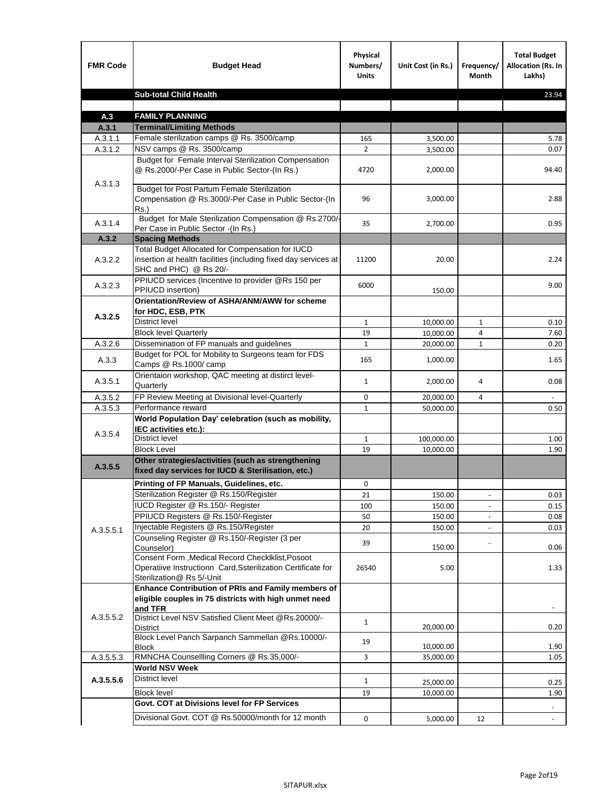| <b>FMR Code</b> | <b>Budget Head</b>                                                                                                                             | Physical<br>Numbers/<br><b>Units</b> | Unit Cost (in Rs.) | Frequency/<br><b>Month</b> | <b>Total Budget</b><br>Allocation (Rs. In<br>Lakhs) |
|-----------------|------------------------------------------------------------------------------------------------------------------------------------------------|--------------------------------------|--------------------|----------------------------|-----------------------------------------------------|
|                 | <b>Sub-total Child Health</b>                                                                                                                  |                                      |                    |                            | 23.94                                               |
|                 |                                                                                                                                                |                                      |                    |                            |                                                     |
| A.3             | <b>FAMILY PLANNING</b>                                                                                                                         |                                      |                    |                            |                                                     |
| A.3.1           | <b>Terminal/Limiting Methods</b>                                                                                                               |                                      |                    |                            |                                                     |
| A.3.1.1         | Female sterilization camps @ Rs. 3500/camp                                                                                                     | 165                                  | 3,500.00           |                            | 5.78                                                |
| A.3.1.2         | NSV camps @ Rs. 3500/camp                                                                                                                      | $\overline{2}$                       | 3,500.00           |                            | 0.07                                                |
| A.3.1.3         | Budget for Female Interval Sterilization Compensation<br>@ Rs.2000/-Per Case in Public Sector-(In Rs.)                                         | 4720                                 | 2,000.00           |                            | 94.40                                               |
|                 | <b>Budget for Post Partum Female Sterilization</b><br>Compensation @ Rs.3000/-Per Case in Public Sector-(In<br>$Rs.$ )                         | 96                                   | 3,000.00           |                            | 2.88                                                |
| A.3.1.4         | Budget for Male Sterilization Compensation @ Rs.2700/-<br>Per Case in Public Sector -(In Rs.)                                                  | 35                                   | 2,700.00           |                            | 0.95                                                |
| A.3.2           | <b>Spacing Methods</b>                                                                                                                         |                                      |                    |                            |                                                     |
| A.3.2.2         | Total Budget Allocated for Compensation for IUCD<br>insertion at health facilities (including fixed day services at<br>SHC and PHC) @ Rs 20/-  | 11200                                | 20.00              |                            | 2.24                                                |
| A.3.2.3         | PPIUCD services (Incentive to provider @Rs 150 per<br>PPIUCD insertion)                                                                        | 6000                                 | 150.00             |                            | 9.00                                                |
| A.3.2.5         | Orientation/Review of ASHA/ANM/AWW for scheme<br>for HDC, ESB, PTK                                                                             |                                      |                    |                            |                                                     |
|                 | <b>District level</b>                                                                                                                          | $\mathbf{1}$                         | 10,000.00          | $\mathbf{1}$               | 0.10                                                |
|                 | <b>Block level Quarterly</b>                                                                                                                   | 19                                   | 10,000.00          | 4                          | 7.60                                                |
| A.3.2.6         | Dissemination of FP manuals and guidelines                                                                                                     | $\mathbf{1}$                         | 20,000.00          | $\mathbf{1}$               | 0.20                                                |
| A.3.3           | Budget for POL for Mobility to Surgeons team for FDS<br>Camps @ Rs.1000/ camp                                                                  | 165                                  | 1,000.00           |                            | 1.65                                                |
| A.3.5.1         | Orientaion workshop, QAC meeting at distirct level-<br>Quarterly                                                                               | $\mathbf{1}$                         | 2,000.00           | 4                          | 0.08                                                |
| A.3.5.2         | FP Review Meeting at Divisional level-Quarterly                                                                                                | 0                                    | 20,000.00          | 4                          |                                                     |
| A.3.5.3         | Performance reward                                                                                                                             | $\mathbf{1}$                         | 50,000.00          |                            | 0.50                                                |
| A.3.5.4         | World Population Day' celebration (such as mobility,<br>IEC activities etc.):                                                                  |                                      |                    |                            |                                                     |
|                 | District level                                                                                                                                 | $\mathbf{1}$                         | 100,000.00         |                            | 1.00                                                |
|                 | <b>Block Level</b>                                                                                                                             | 19                                   | 10,000.00          |                            | 1.90                                                |
| A.3.5.5         | Other strategies/activities (such as strengthening<br>fixed day services for IUCD & Sterilisation, etc.)                                       |                                      |                    |                            |                                                     |
|                 | Printing of FP Manuals, Guidelines, etc.                                                                                                       | 0                                    |                    |                            |                                                     |
|                 | Sterilization Register @ Rs.150/Register                                                                                                       | 21                                   | 150.00             | $\centerdot$               | 0.03                                                |
|                 | IUCD Register @ Rs.150/- Register                                                                                                              | 100                                  | 150.00             |                            | 0.15                                                |
|                 | PPIUCD Registers @ Rs.150/-Register                                                                                                            | 50                                   | 150.00             |                            | 0.08                                                |
| A.3.5.5.1       | Injectable Registers @ Rs.150/Register                                                                                                         | 20                                   | 150.00             |                            | 0.03                                                |
|                 | Counseling Register @ Rs.150/-Register (3 per<br>Counselor)                                                                                    | 39                                   | 150.00             |                            | 0.06                                                |
|                 | Consent Form , Medical Record CheckIklist, Posoot<br>Operatiive Instructionn Card, Ssterilization Certificate for<br>Sterilization@ Rs 5/-Unit | 26540                                | 5.00               |                            | 1.33                                                |
|                 | Enhance Contribution of PRIs and Family members of<br>eligible couples in 75 districts with high unmet need<br>and TFR                         |                                      |                    |                            |                                                     |
| A.3.5.5.2       | District Level NSV Satisfied Client Meet @Rs.20000/-<br>District                                                                               | $\mathbf{1}$                         | 20,000.00          |                            | 0.20                                                |
|                 | Block Level Panch Sarpanch Sammellan @Rs.10000/-<br><b>Block</b>                                                                               | 19                                   | 10,000.00          |                            | 1.90                                                |
| A.3.5.5.3       | RMNCHA Counsellling Corners @ Rs.35,000/-                                                                                                      | 3                                    | 35,000.00          |                            | 1.05                                                |
|                 | <b>World NSV Week</b>                                                                                                                          |                                      |                    |                            |                                                     |
| A.3.5.5.6       | <b>District level</b>                                                                                                                          | $\mathbf{1}$                         | 25,000.00          |                            | 0.25                                                |
|                 | <b>Block level</b>                                                                                                                             | 19                                   | 10,000.00          |                            | 1.90                                                |
|                 | Govt. COT at Divisions level for FP Services                                                                                                   |                                      |                    |                            |                                                     |
|                 | Divisional Govt. COT @ Rs.50000/month for 12 month                                                                                             | 0                                    | 5,000.00           | 12                         | $\omega$                                            |
|                 |                                                                                                                                                |                                      |                    |                            |                                                     |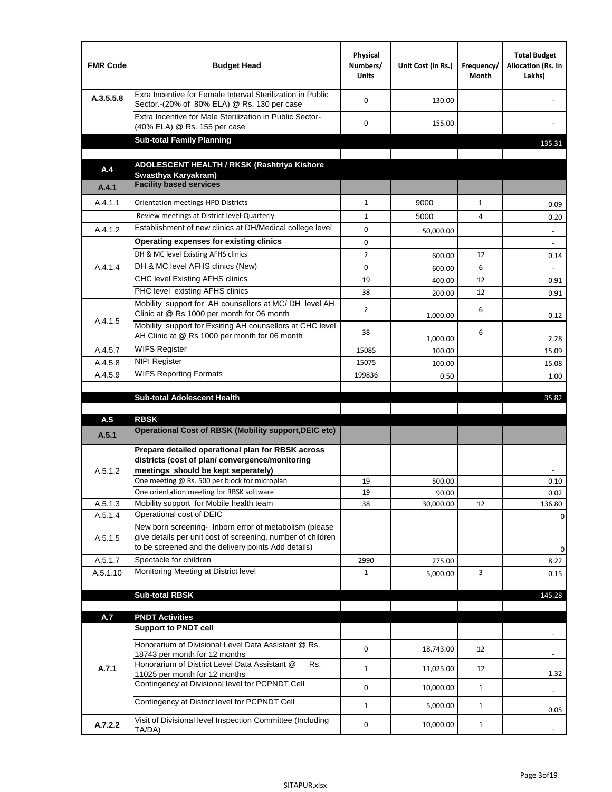| <b>FMR Code</b>    | <b>Budget Head</b>                                                                                                                                                                          | Physical<br>Numbers/<br><b>Units</b> | Unit Cost (in Rs.) | Frequency/<br>Month | <b>Total Budget</b><br>Allocation (Rs. In<br>Lakhs) |
|--------------------|---------------------------------------------------------------------------------------------------------------------------------------------------------------------------------------------|--------------------------------------|--------------------|---------------------|-----------------------------------------------------|
| A.3.5.5.8          | Exra Incentive for Female Interval Sterilization in Public<br>Sector.-(20% of 80% ELA) @ Rs. 130 per case                                                                                   | $\Omega$                             | 130.00             |                     |                                                     |
|                    | Extra Incentive for Male Sterilization in Public Sector-<br>(40% ELA) @ Rs. 155 per case                                                                                                    | $\Omega$                             | 155.00             |                     |                                                     |
|                    | <b>Sub-total Family Planning</b>                                                                                                                                                            |                                      |                    |                     | 135.31                                              |
|                    | ADOLESCENT HEALTH / RKSK (Rashtriya Kishore                                                                                                                                                 |                                      |                    |                     |                                                     |
| A.4                | Swasthva Karvakram)                                                                                                                                                                         |                                      |                    |                     |                                                     |
| A.4.1              | <b>Facility based services</b>                                                                                                                                                              |                                      |                    |                     |                                                     |
| A.4.1.1            | Orientation meetings-HPD Districts                                                                                                                                                          | $\mathbf{1}$                         | 9000               | $\mathbf{1}$        | 0.09                                                |
|                    | Review meetings at District level-Quarterly                                                                                                                                                 | $\mathbf{1}$                         | 5000               | 4                   | 0.20                                                |
| A.4.1.2            | Establishment of new clinics at DH/Medical college level                                                                                                                                    | 0                                    | 50,000.00          |                     | $\overline{\phantom{a}}$                            |
|                    | Operating expenses for existing clinics                                                                                                                                                     | 0                                    |                    |                     |                                                     |
|                    | DH & MC level Existing AFHS clinics                                                                                                                                                         | $\overline{2}$                       | 600.00             | 12                  | 0.14                                                |
| A.4.1.4            | DH & MC level AFHS clinics (New)                                                                                                                                                            | 0                                    | 600.00             | 6                   |                                                     |
|                    | <b>CHC level Existing AFHS clinics</b>                                                                                                                                                      | 19                                   | 400.00             | 12                  | 0.91                                                |
|                    | PHC level existing AFHS clinics                                                                                                                                                             | 38                                   | 200.00             | 12                  | 0.91                                                |
| A.4.1.5            | Mobility support for AH counsellors at MC/DH level AH<br>Clinic at @ Rs 1000 per month for 06 month                                                                                         | 2                                    | 1,000.00           | 6                   | 0.12                                                |
|                    | Mobility support for Exsiting AH counsellors at CHC level<br>AH Clinic at @ Rs 1000 per month for 06 month                                                                                  | 38                                   | 1,000.00           | 6                   | 2.28                                                |
| A.4.5.7            | <b>WIFS Register</b>                                                                                                                                                                        | 15085                                | 100.00             |                     | 15.09                                               |
| A.4.5.8            | <b>NIPI Register</b>                                                                                                                                                                        | 15075                                | 100.00             |                     | 15.08                                               |
| A.4.5.9            | <b>WIFS Reporting Formats</b>                                                                                                                                                               | 199836                               | 0.50               |                     | 1.00                                                |
|                    | <b>Sub-total Adolescent Health</b>                                                                                                                                                          |                                      |                    |                     | 35.82                                               |
| A.5                | <b>RBSK</b><br>Operational Cost of RBSK (Mobility support, DEIC etc)                                                                                                                        |                                      |                    |                     |                                                     |
| A.5.1              |                                                                                                                                                                                             |                                      |                    |                     |                                                     |
| A.5.1.2            | Prepare detailed operational plan for RBSK across<br>districts (cost of plan/convergence/monitoring<br>meetings should be kept seperately)<br>One meeting @ Rs. 500 per block for microplan | 19                                   | 500.00             |                     | 0.10                                                |
|                    | One orientation meeting for RBSK software                                                                                                                                                   | 19                                   | 90.00              |                     | 0.02                                                |
| A.5.1.3            | Mobility support for Mobile health team<br>Operational cost of DEIC                                                                                                                         | 38                                   | 30,000.00          | 12                  | 136.80                                              |
| A.5.1.4<br>A.5.1.5 | New born screening- Inborn error of metabolism (please<br>give details per unit cost of screening, number of children<br>to be screened and the delivery points Add details)                |                                      |                    |                     | 0<br>0                                              |
| A.5.1.7            | Spectacle for children                                                                                                                                                                      | 2990                                 | 275.00             |                     | 8.22                                                |
| A.5.1.10           | Monitoring Meeting at District level                                                                                                                                                        | $\mathbf{1}$                         | 5,000.00           | 3                   | 0.15                                                |
|                    |                                                                                                                                                                                             |                                      |                    |                     |                                                     |
|                    | <b>Sub-total RBSK</b>                                                                                                                                                                       |                                      |                    |                     | 145.28                                              |
| A.7                | <b>PNDT Activities</b>                                                                                                                                                                      |                                      |                    |                     |                                                     |
|                    | <b>Support to PNDT cell</b>                                                                                                                                                                 |                                      |                    |                     |                                                     |
|                    | Honorarium of Divisional Level Data Assistant @ Rs.<br>18743 per month for 12 months                                                                                                        | 0                                    | 18,743.00          | 12                  |                                                     |
| A.7.1              | Honorarium of District Level Data Assistant @<br>Rs.<br>11025 per month for 12 months                                                                                                       | $\mathbf{1}$                         | 11,025.00          | 12                  | 1.32                                                |
|                    | Contingency at Divisional level for PCPNDT Cell                                                                                                                                             | 0                                    | 10,000.00          | $\mathbf{1}$        | $\overline{\phantom{a}}$                            |
|                    | Contingency at District level for PCPNDT Cell                                                                                                                                               | $\mathbf{1}$                         | 5,000.00           | $\mathbf{1}$        | 0.05                                                |
| A.7.2.2            | Visit of Divisional level Inspection Committee (Including<br>TA/DA)                                                                                                                         | 0                                    | 10,000.00          | $\mathbf{1}$        |                                                     |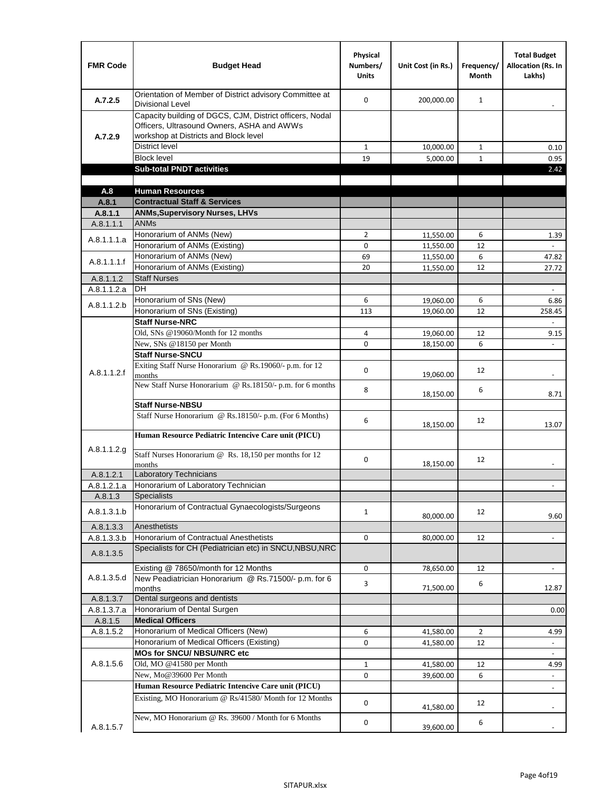| <b>FMR Code</b> | <b>Budget Head</b>                                                                                                                              | Physical<br>Numbers/<br><b>Units</b> | Unit Cost (in Rs.) | Frequency/<br><b>Month</b> | <b>Total Budget</b><br><b>Allocation (Rs. In</b><br>Lakhs) |
|-----------------|-------------------------------------------------------------------------------------------------------------------------------------------------|--------------------------------------|--------------------|----------------------------|------------------------------------------------------------|
| A.7.2.5         | Orientation of Member of District advisory Committee at<br><b>Divisional Level</b>                                                              | $\Omega$                             | 200,000.00         | $\mathbf{1}$               | $\blacksquare$                                             |
| A.7.2.9         | Capacity building of DGCS, CJM, District officers, Nodal<br>Officers, Ultrasound Owners, ASHA and AWWs<br>workshop at Districts and Block level |                                      |                    |                            |                                                            |
|                 | <b>District level</b>                                                                                                                           | $\mathbf{1}$                         | 10,000.00          | 1                          | 0.10                                                       |
|                 | <b>Block level</b>                                                                                                                              | 19                                   | 5,000.00           | $\mathbf{1}$               | 0.95                                                       |
|                 | <b>Sub-total PNDT activities</b>                                                                                                                |                                      |                    |                            | 2.42                                                       |
|                 |                                                                                                                                                 |                                      |                    |                            |                                                            |
| A.8             | <b>Human Resources</b>                                                                                                                          |                                      |                    |                            |                                                            |
| A.8.1           | <b>Contractual Staff &amp; Services</b>                                                                                                         |                                      |                    |                            |                                                            |
| A.8.1.1         | <b>ANMs, Supervisory Nurses, LHVs</b>                                                                                                           |                                      |                    |                            |                                                            |
| A.8.1.1.1       | <b>ANMs</b>                                                                                                                                     |                                      |                    |                            |                                                            |
| A.8.1.1.1.a     | Honorarium of ANMs (New)<br>Honorarium of ANMs (Existing)                                                                                       | $\overline{2}$<br>0                  | 11,550.00          | 6                          | 1.39                                                       |
|                 | Honorarium of ANMs (New)                                                                                                                        |                                      | 11,550.00          | 12<br>6                    |                                                            |
| A.8.1.1.1.f     | Honorarium of ANMs (Existing)                                                                                                                   | 69<br>20                             | 11,550.00          | 12                         | 47.82                                                      |
| A.8.1.1.2       | <b>Staff Nurses</b>                                                                                                                             |                                      | 11,550.00          |                            | 27.72                                                      |
| A.8.1.1.2.a     | <b>DH</b>                                                                                                                                       |                                      |                    |                            | $\Box$                                                     |
|                 | Honorarium of SNs (New)                                                                                                                         | 6                                    | 19,060.00          | 6                          | 6.86                                                       |
| A.8.1.1.2.b     | Honorarium of SNs (Existing)                                                                                                                    | 113                                  | 19.060.00          | 12                         | 258.45                                                     |
|                 | <b>Staff Nurse-NRC</b>                                                                                                                          |                                      |                    |                            | $\overline{\phantom{a}}$                                   |
|                 | Old, SNs @19060/Month for 12 months                                                                                                             | 4                                    | 19,060.00          | 12                         | 9.15                                                       |
|                 | New, SNs @18150 per Month                                                                                                                       | 0                                    | 18,150.00          | 6                          |                                                            |
|                 | <b>Staff Nurse-SNCU</b>                                                                                                                         |                                      |                    |                            |                                                            |
| A.8.1.1.2.f     | Exiting Staff Nurse Honorarium @ Rs.19060/- p.m. for 12<br>months                                                                               | $\Omega$                             | 19,060.00          | 12                         | -                                                          |
|                 | New Staff Nurse Honorarium @ Rs.18150/- p.m. for 6 months                                                                                       | 8                                    | 18,150.00          | 6                          | 8.71                                                       |
|                 | <b>Staff Nurse-NBSU</b>                                                                                                                         |                                      |                    |                            |                                                            |
|                 | Staff Nurse Honorarium @ Rs.18150/- p.m. (For 6 Months)                                                                                         | 6                                    | 18,150.00          | 12                         | 13.07                                                      |
|                 | Human Resource Pediatric Intencive Care unit (PICU)                                                                                             |                                      |                    |                            |                                                            |
| A.8.1.1.2.g     | Staff Nurses Honorarium @ Rs. 18,150 per months for 12<br>months                                                                                | 0                                    | 18,150.00          | 12                         |                                                            |
| A.8.1.2.1       | Laboratory Technicians                                                                                                                          |                                      |                    |                            |                                                            |
| A.8.1.2.1.a     | Honorarium of Laboratory Technician                                                                                                             |                                      |                    |                            |                                                            |
| A.8.1.3         | <b>Specialists</b>                                                                                                                              |                                      |                    |                            |                                                            |
| A.8.1.3.1.b     | Honorarium of Contractual Gynaecologists/Surgeons                                                                                               | $\mathbf{1}$                         | 80,000.00          | 12                         | 9.60                                                       |
| A.8.1.3.3       | Anesthetists                                                                                                                                    |                                      |                    |                            |                                                            |
| A.8.1.3.3.b     | Honorarium of Contractual Anesthetists                                                                                                          | 0                                    | 80,000.00          | 12                         | $\blacksquare$                                             |
| A.8.1.3.5       | Specialists for CH (Pediatrician etc) in SNCU, NBSU, NRC                                                                                        |                                      |                    |                            |                                                            |
|                 | Existing @ 78650/month for 12 Months                                                                                                            | 0                                    | 78,650.00          | 12                         | $\blacksquare$                                             |
| A.8.1.3.5.d     | New Peadiatrician Honorarium @ Rs.71500/- p.m. for 6<br>months                                                                                  | 3                                    | 71,500.00          | 6                          | 12.87                                                      |
| A.8.1.3.7       | Dental surgeons and dentists                                                                                                                    |                                      |                    |                            |                                                            |
| A.8.1.3.7.a     | Honorarium of Dental Surgen                                                                                                                     |                                      |                    |                            | 0.00                                                       |
| A.8.1.5         | <b>Medical Officers</b>                                                                                                                         |                                      |                    |                            |                                                            |
| A.8.1.5.2       | Honorarium of Medical Officers (New)                                                                                                            | 6                                    | 41,580.00          | $\overline{2}$             | 4.99                                                       |
|                 | Honorarium of Medical Officers (Existing)                                                                                                       | 0                                    | 41,580.00          | 12                         |                                                            |
|                 | MOs for SNCU/ NBSU/NRC etc                                                                                                                      |                                      |                    |                            |                                                            |
| A.8.1.5.6       | Old, MO @41580 per Month                                                                                                                        | $\mathbf{1}$                         | 41,580.00          | 12                         | 4.99                                                       |
|                 | New, Mo@39600 Per Month                                                                                                                         | 0                                    | 39,600.00          | 6                          | $\overline{\phantom{a}}$                                   |
|                 | Human Resource Pediatric Intencive Care unit (PICU)                                                                                             |                                      |                    |                            | $\frac{1}{2}$                                              |
|                 | Existing, MO Honorarium @ Rs/41580/ Month for 12 Months                                                                                         | $\mathbf 0$                          | 41,580.00          | 12                         |                                                            |
| A.8.1.5.7       | New, MO Honorarium @ Rs. 39600 / Month for 6 Months                                                                                             | 0                                    | 39,600.00          | 6                          |                                                            |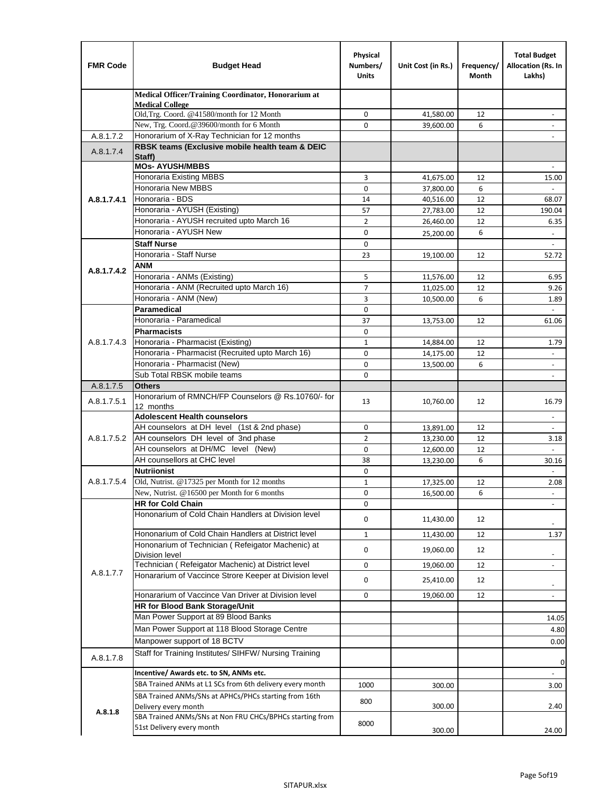| <b>FMR Code</b> | <b>Budget Head</b>                                                            | Physical<br>Numbers/<br><b>Units</b> | Unit Cost (in Rs.)     | Frequency/<br>Month | <b>Total Budget</b><br>Allocation (Rs. In<br>Lakhs)  |
|-----------------|-------------------------------------------------------------------------------|--------------------------------------|------------------------|---------------------|------------------------------------------------------|
|                 | Medical Officer/Training Coordinator, Honorarium at                           |                                      |                        |                     |                                                      |
|                 | <b>Medical College</b><br>Old, Trg. Coord. @41580/month for 12 Month          | $\mathbf 0$                          | 41,580.00              | 12                  |                                                      |
|                 | New, Trg. Coord.@39600/month for 6 Month                                      | $\Omega$                             | 39,600.00              | 6                   |                                                      |
| A.8.1.7.2       | Honorarium of X-Ray Technician for 12 months                                  |                                      |                        |                     |                                                      |
| A.8.1.7.4       | RBSK teams (Exclusive mobile health team & DEIC                               |                                      |                        |                     |                                                      |
|                 | Staff)                                                                        |                                      |                        |                     |                                                      |
|                 | <b>MOs- AYUSH/MBBS</b>                                                        |                                      |                        |                     |                                                      |
|                 | <b>Honoraria Existing MBBS</b><br>Honoraria New MBBS                          | 3<br>0                               | 41,675.00              | 12<br>6             | 15.00                                                |
| A.8.1.7.4.1     | Honoraria - BDS                                                               | 14                                   | 37,800.00<br>40,516.00 | 12                  | 68.07                                                |
|                 | Honoraria - AYUSH (Existing)                                                  | 57                                   | 27,783.00              | 12                  | 190.04                                               |
|                 | Honoraria - AYUSH recruited upto March 16                                     | $\overline{2}$                       | 26,460.00              | 12                  | 6.35                                                 |
|                 | Honoraria - AYUSH New                                                         | $\mathbf 0$                          | 25,200.00              | 6                   | $\overline{\phantom{a}}$                             |
|                 | <b>Staff Nurse</b>                                                            | $\Omega$                             |                        |                     |                                                      |
|                 | Honoraria - Staff Nurse                                                       | 23                                   | 19,100.00              | 12                  | 52.72                                                |
| A.8.1.7.4.2     | <b>ANM</b>                                                                    |                                      |                        |                     |                                                      |
|                 | Honoraria - ANMs (Existing)                                                   | 5                                    | 11,576.00              | 12                  | 6.95                                                 |
|                 | Honoraria - ANM (Recruited upto March 16)                                     | $\overline{7}$                       | 11,025.00              | 12                  | 9.26                                                 |
|                 | Honoraria - ANM (New)                                                         | 3                                    | 10,500.00              | 6                   | 1.89                                                 |
|                 | Paramedical                                                                   | $\mathbf 0$                          |                        |                     | $\omega$                                             |
|                 | Honoraria - Paramedical<br><b>Pharmacists</b>                                 | 37                                   | 13,753.00              | 12                  | 61.06                                                |
| A.8.1.7.4.3     | Honoraria - Pharmacist (Existing)                                             | 0<br>$\mathbf{1}$                    |                        | 12                  | 1.79                                                 |
|                 | Honoraria - Pharmacist (Recruited upto March 16)                              | 0                                    | 14,884.00<br>14,175.00 | 12                  | $\blacksquare$                                       |
|                 | Honoraria - Pharmacist (New)                                                  | $\mathbf 0$                          | 13,500.00              | 6                   | ÷,                                                   |
|                 | Sub Total RBSK mobile teams                                                   | $\Omega$                             |                        |                     | $\overline{\phantom{a}}$                             |
| A.8.1.7.5       | <b>Others</b>                                                                 |                                      |                        |                     |                                                      |
| A.8.1.7.5.1     | Honorarium of RMNCH/FP Counselors @ Rs.10760/- for                            | 13                                   | 10,760.00              | 12                  | 16.79                                                |
|                 | 12 months                                                                     |                                      |                        |                     |                                                      |
|                 | <b>Adolescent Health counselors</b>                                           |                                      |                        |                     | $\blacksquare$                                       |
|                 | AH counselors at DH level (1st & 2nd phase)                                   | 0                                    | 13,891.00              | 12                  |                                                      |
| A.8.1.7.5.2     | AH counselors DH level of 3nd phase<br>AH counselors at DH/MC level (New)     | $\overline{2}$<br>$\mathbf 0$        | 13,230.00<br>12,600.00 | 12<br>12            | 3.18                                                 |
|                 | AH counsellors at CHC level                                                   | 38                                   | 13,230.00              | 6                   | 30.16                                                |
|                 | <b>Nutriionist</b>                                                            | $\mathbf 0$                          |                        |                     | $\blacksquare$                                       |
| A.8.1.7.5.4     | Old, Nutrist. @17325 per Month for 12 months                                  | $\mathbf{1}$                         | 17,325.00              | 12                  | 2.08                                                 |
|                 | New, Nutrist. $@16500$ per Month for 6 months                                 | 0                                    | 16,500.00              | 6                   | $\overline{\phantom{a}}$                             |
|                 | <b>HR for Cold Chain</b>                                                      | 0                                    |                        |                     |                                                      |
|                 | Hononarium of Cold Chain Handlers at Division level                           | 0                                    | 11,430.00              | 12                  |                                                      |
|                 | Hononarium of Cold Chain Handlers at District level                           | 1                                    |                        | 12                  | 1.37                                                 |
|                 | Hononarium of Technician (Refeigator Machenic) at                             |                                      | 11,430.00              |                     |                                                      |
|                 | <b>Division level</b>                                                         | 0                                    | 19,060.00              | 12                  | $\overline{\phantom{a}}$                             |
|                 | Technician (Refeigator Machenic) at District level                            | 0                                    | 19,060.00              | 12                  | $\blacksquare$                                       |
| A.8.1.7.7       | Honararium of Vaccince Strore Keeper at Division level                        | 0                                    | 25,410.00              | 12                  |                                                      |
|                 | Honararium of Vaccince Van Driver at Division level                           | 0                                    | 19,060.00              | 12                  | $\overline{\phantom{a}}$<br>$\overline{\phantom{a}}$ |
|                 | HR for Blood Bank Storage/Unit                                                |                                      |                        |                     |                                                      |
|                 | Man Power Support at 89 Blood Banks                                           |                                      |                        |                     | 14.05                                                |
|                 | Man Power Support at 118 Blood Storage Centre                                 |                                      |                        |                     | 4.80                                                 |
|                 | Manpower support of 18 BCTV                                                   |                                      |                        |                     | 0.00                                                 |
|                 | Staff for Training Institutes/ SIHFW/ Nursing Training                        |                                      |                        |                     |                                                      |
| A.8.1.7.8       |                                                                               |                                      |                        |                     | 0                                                    |
|                 | Incentive/ Awards etc. to SN, ANMs etc.                                       |                                      |                        |                     | $\blacksquare$                                       |
|                 | SBA Trained ANMs at L1 SCs from 6th delivery every month                      | 1000                                 | 300.00                 |                     | 3.00                                                 |
|                 | SBA Trained ANMs/SNs at APHCs/PHCs starting from 16th<br>Delivery every month | 800                                  | 300.00                 |                     | 2.40                                                 |
| A.8.1.8         | SBA Trained ANMs/SNs at Non FRU CHCs/BPHCs starting from                      |                                      |                        |                     |                                                      |
|                 | 51st Delivery every month                                                     | 8000                                 | 300.00                 |                     | 24.00                                                |
|                 |                                                                               |                                      |                        |                     |                                                      |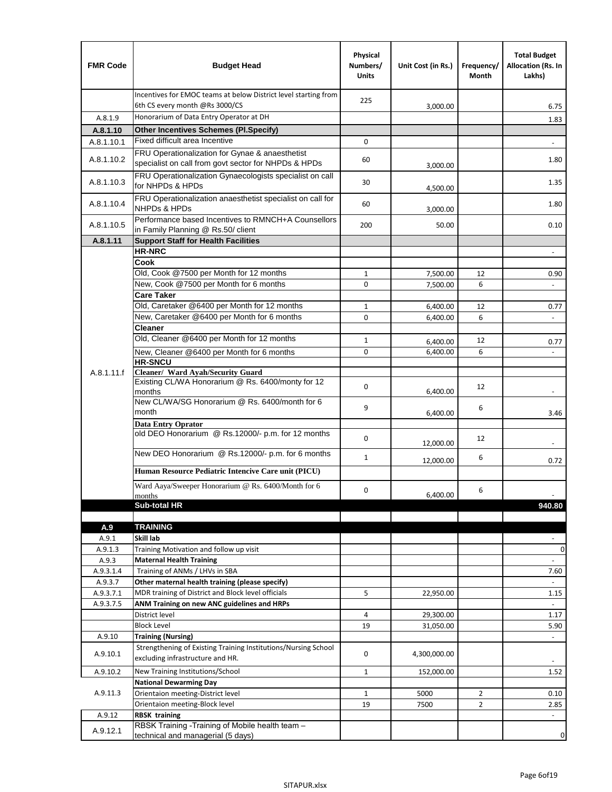| <b>FMR Code</b>  | <b>Budget Head</b>                                                                                      | Physical<br>Numbers/<br><b>Units</b> | Unit Cost (in Rs.) | Frequency/<br>Month | <b>Total Budget</b><br>Allocation (Rs. In<br>Lakhs) |
|------------------|---------------------------------------------------------------------------------------------------------|--------------------------------------|--------------------|---------------------|-----------------------------------------------------|
|                  | Incentives for EMOC teams at below District level starting from<br>6th CS every month @Rs 3000/CS       | 225                                  | 3,000.00           |                     | 6.75                                                |
| A.8.1.9          | Honorarium of Data Entry Operator at DH                                                                 |                                      |                    |                     | 1.83                                                |
| A.8.1.10         | <b>Other Incentives Schemes (PI.Specify)</b>                                                            |                                      |                    |                     |                                                     |
| A.8.1.10.1       | Fixed difficult area Incentive                                                                          | $\mathbf 0$                          |                    |                     |                                                     |
| A.8.1.10.2       | FRU Operationalization for Gynae & anaesthetist<br>specialist on call from govt sector for NHPDs & HPDs | 60                                   | 3,000.00           |                     | 1.80                                                |
| A.8.1.10.3       | FRU Operationalization Gynaecologists specialist on call<br>for NHPDs & HPDs                            | 30                                   | 4,500.00           |                     | 1.35                                                |
| A.8.1.10.4       | FRU Operationalization anaesthetist specialist on call for<br><b>NHPDs &amp; HPDs</b>                   | 60                                   | 3,000.00           |                     | 1.80                                                |
| A.8.1.10.5       | Performance based Incentives to RMNCH+A Counsellors<br>in Family Planning @ Rs.50/ client               | 200                                  | 50.00              |                     | 0.10                                                |
| A.8.1.11         | <b>Support Staff for Health Facilities</b>                                                              |                                      |                    |                     |                                                     |
|                  | <b>HR-NRC</b>                                                                                           |                                      |                    |                     | $\overline{\phantom{m}}$                            |
|                  | Cook                                                                                                    |                                      |                    |                     |                                                     |
|                  | Old, Cook @7500 per Month for 12 months                                                                 | $\mathbf{1}$                         | 7,500.00           | 12                  | 0.90                                                |
|                  | New, Cook @7500 per Month for 6 months<br><b>Care Taker</b>                                             | 0                                    | 7,500.00           | 6                   | $\Box$                                              |
|                  | Old, Caretaker @6400 per Month for 12 months                                                            | $\mathbf{1}$                         | 6,400.00           | 12                  | 0.77                                                |
|                  | New, Caretaker @6400 per Month for 6 months                                                             | 0                                    | 6,400.00           | 6                   | ÷,                                                  |
|                  | <b>Cleaner</b>                                                                                          |                                      |                    |                     |                                                     |
|                  | Old, Cleaner @6400 per Month for 12 months                                                              | $\mathbf{1}$                         | 6,400.00           | 12                  | 0.77                                                |
|                  | New, Cleaner @6400 per Month for 6 months                                                               | $\mathbf 0$                          | 6,400.00           | 6                   |                                                     |
|                  | <b>HR-SNCU</b>                                                                                          |                                      |                    |                     |                                                     |
| A.8.1.11.f       | Cleaner/ Ward Ayah/Security Guard                                                                       |                                      |                    |                     |                                                     |
|                  | Existing CL/WA Honorarium @ Rs. 6400/monty for 12<br>months                                             | $\mathbf 0$                          | 6,400.00           | 12                  |                                                     |
|                  | New CL/WA/SG Honorarium @ Rs. 6400/month for 6<br>month                                                 | 9                                    | 6,400.00           | 6                   | 3.46                                                |
|                  | <b>Data Entry Oprator</b><br>old DEO Honorarium @ Rs.12000/- p.m. for 12 months                         |                                      |                    |                     |                                                     |
|                  |                                                                                                         | $\mathbf 0$                          | 12,000.00          | 12                  |                                                     |
|                  | New DEO Honorarium @ Rs.12000/- p.m. for 6 months                                                       | $\mathbf{1}$                         | 12,000.00          | 6                   | 0.72                                                |
|                  | Human Resource Pediatric Intencive Care unit (PICU)                                                     |                                      |                    |                     |                                                     |
|                  | Ward Aaya/Sweeper Honorarium @ Rs. 6400/Month for 6                                                     |                                      |                    |                     |                                                     |
|                  | months                                                                                                  | 0                                    | 6,400.00           | 6                   |                                                     |
|                  | Sub-total HR                                                                                            |                                      |                    |                     | 940.80                                              |
|                  |                                                                                                         |                                      |                    |                     |                                                     |
| A.9              | <b>TRAINING</b><br>Skill lab                                                                            |                                      |                    |                     |                                                     |
| A.9.1<br>A.9.1.3 | Training Motivation and follow up visit                                                                 |                                      |                    |                     | 0                                                   |
| A.9.3            | <b>Maternal Health Training</b>                                                                         |                                      |                    |                     |                                                     |
| A.9.3.1.4        | Training of ANMs / LHVs in SBA                                                                          |                                      |                    |                     | 7.60                                                |
| A.9.3.7          | Other maternal health training (please specify)                                                         |                                      |                    |                     |                                                     |
| A.9.3.7.1        | MDR training of District and Block level officials                                                      | 5                                    | 22,950.00          |                     | 1.15                                                |
| A.9.3.7.5        | ANM Training on new ANC guidelines and HRPs                                                             |                                      |                    |                     |                                                     |
|                  | District level                                                                                          | 4                                    | 29,300.00          |                     | 1.17                                                |
|                  | <b>Block Level</b>                                                                                      | 19                                   | 31,050.00          |                     | 5.90                                                |
| A.9.10           | <b>Training (Nursing)</b>                                                                               |                                      |                    |                     | $\blacksquare$                                      |
| A.9.10.1         | Strengthening of Existing Training Institutions/Nursing School<br>excluding infrastructure and HR.      | 0                                    | 4,300,000.00       |                     |                                                     |
| A.9.10.2         | New Training Institutions/School                                                                        | $\mathbf{1}$                         | 152,000.00         |                     | 1.52                                                |
|                  | <b>National Dewarming Day</b>                                                                           |                                      |                    |                     |                                                     |
| A.9.11.3         | Orientaion meeting-District level                                                                       | 1                                    | 5000               | $\overline{2}$      | 0.10                                                |
|                  | Orientaion meeting-Block level                                                                          | 19                                   | 7500               | $\overline{2}$      | 2.85                                                |
| A.9.12           | <b>RBSK training</b>                                                                                    |                                      |                    |                     |                                                     |
| A.9.12.1         | RBSK Training -Training of Mobile health team -<br>technical and managerial (5 days)                    |                                      |                    |                     | 0                                                   |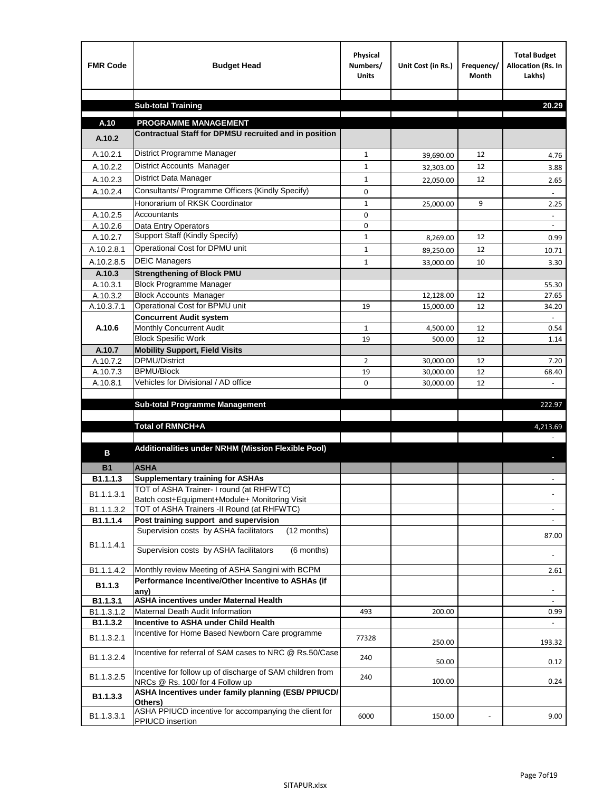| <b>FMR Code</b>        | <b>Budget Head</b>                                                                           | Physical<br>Numbers/<br><b>Units</b> | Unit Cost (in Rs.)     | Frequency/<br><b>Month</b> | <b>Total Budget</b><br>Allocation (Rs. In<br>Lakhs) |
|------------------------|----------------------------------------------------------------------------------------------|--------------------------------------|------------------------|----------------------------|-----------------------------------------------------|
|                        |                                                                                              |                                      |                        |                            |                                                     |
|                        | <b>Sub-total Training</b>                                                                    |                                      |                        |                            | 20.29                                               |
| A.10                   | <b>PROGRAMME MANAGEMENT</b>                                                                  |                                      |                        |                            |                                                     |
| A.10.2                 | Contractual Staff for DPMSU recruited and in position                                        |                                      |                        |                            |                                                     |
| A.10.2.1               | District Programme Manager                                                                   | $\mathbf{1}$                         |                        | 12                         |                                                     |
| A.10.2.2               | District Accounts Manager                                                                    | 1                                    | 39,690.00              | 12                         | 4.76                                                |
| A.10.2.3               | District Data Manager                                                                        | $\mathbf{1}$                         | 32,303.00              | 12                         | 3.88                                                |
| A.10.2.4               | Consultants/ Programme Officers (Kindly Specify)                                             | $\mathbf 0$                          | 22,050.00              |                            | 2.65                                                |
|                        | Honorarium of RKSK Coordinator                                                               | $\mathbf{1}$                         |                        | 9                          | 2.25                                                |
| A.10.2.5               | Accountants                                                                                  | 0                                    | 25,000.00              |                            |                                                     |
| A.10.2.6               | Data Entry Operators                                                                         | 0                                    |                        |                            | $\overline{\phantom{a}}$                            |
| A.10.2.7               | Support Staff (Kindly Specify)                                                               | $\mathbf 1$                          | 8,269.00               | 12                         | 0.99                                                |
| A.10.2.8.1             | Operational Cost for DPMU unit                                                               | $\mathbf{1}$                         | 89,250.00              | 12                         | 10.71                                               |
| A.10.2.8.5             | <b>DEIC Managers</b>                                                                         | $\mathbf{1}$                         | 33,000.00              | 10                         | 3.30                                                |
| A.10.3                 | <b>Strengthening of Block PMU</b>                                                            |                                      |                        |                            |                                                     |
| A.10.3.1               | <b>Block Programme Manager</b>                                                               |                                      |                        |                            | 55.30                                               |
| A.10.3.2               | <b>Block Accounts Manager</b>                                                                |                                      | 12,128.00              | 12                         | 27.65                                               |
| A.10.3.7.1             | Operational Cost for BPMU unit                                                               | 19                                   | 15,000.00              | 12                         | 34.20                                               |
|                        | <b>Concurrent Audit system</b>                                                               |                                      |                        |                            |                                                     |
| A.10.6                 | Monthly Concurrent Audit                                                                     | $\mathbf{1}$                         | 4,500.00               | 12                         | 0.54                                                |
|                        | <b>Block Spesific Work</b>                                                                   | 19                                   | 500.00                 | 12                         | 1.14                                                |
| A.10.7<br>A.10.7.2     | <b>Mobility Support, Field Visits</b><br>DPMU/District                                       |                                      |                        |                            |                                                     |
| A.10.7.3               | <b>BPMU/Block</b>                                                                            | 2<br>19                              | 30,000.00<br>30,000.00 | 12<br>12                   | 7.20<br>68.40                                       |
| A.10.8.1               | Vehicles for Divisional / AD office                                                          | 0                                    | 30,000.00              | 12                         |                                                     |
|                        |                                                                                              |                                      |                        |                            |                                                     |
|                        | <b>Sub-total Programme Management</b>                                                        |                                      |                        |                            | 222.97                                              |
|                        |                                                                                              |                                      |                        |                            |                                                     |
|                        | Total of RMNCH+A                                                                             |                                      |                        |                            | 4,213.69                                            |
| в                      | Additionalities under NRHM (Mission Flexible Pool)                                           |                                      |                        |                            |                                                     |
| <b>B1</b>              | <b>ASHA</b>                                                                                  |                                      |                        |                            |                                                     |
| B1.1.1.3               | <b>Supplementary training for ASHAs</b>                                                      |                                      |                        |                            |                                                     |
|                        | TOT of ASHA Trainer- I round (at RHFWTC)                                                     |                                      |                        |                            |                                                     |
| B1.1.1.3.1             | Batch cost+Equipment+Module+ Monitoring Visit                                                |                                      |                        |                            |                                                     |
| B1.1.1.3.2             | TOT of ASHA Trainers -II Round (at RHFWTC)                                                   |                                      |                        |                            |                                                     |
| B1.1.1.4               | Post training support and supervision                                                        |                                      |                        |                            | $\omega$                                            |
|                        | Supervision costs by ASHA facilitators<br>(12 months)                                        |                                      |                        |                            | 87.00                                               |
| B1.1.1.4.1             | Supervision costs by ASHA facilitators<br>(6 months)                                         |                                      |                        |                            |                                                     |
| B1.1.1.4.2             | Monthly review Meeting of ASHA Sangini with BCPM                                             |                                      |                        |                            | 2.61                                                |
| B1.1.3                 | Performance Incentive/Other Incentive to ASHAs (if                                           |                                      |                        |                            |                                                     |
|                        | any)                                                                                         |                                      |                        |                            |                                                     |
| B1.1.3.1<br>B1.1.3.1.2 | <b>ASHA incentives under Maternal Health</b><br>Maternal Death Audit Information             | 493                                  |                        |                            |                                                     |
| B1.1.3.2               | Incentive to ASHA under Child Health                                                         |                                      | 200.00                 |                            | 0.99<br>÷.                                          |
| B1.1.3.2.1             | Incentive for Home Based Newborn Care programme                                              | 77328                                | 250.00                 |                            | 193.32                                              |
| B1.1.3.2.4             | Incentive for referral of SAM cases to NRC @ Rs.50/Case                                      | 240                                  | 50.00                  |                            | 0.12                                                |
| B1.1.3.2.5             | Incentive for follow up of discharge of SAM children from<br>NRCs @ Rs. 100/ for 4 Follow up | 240                                  | 100.00                 |                            | 0.24                                                |
| B1.1.3.3               | ASHA Incentives under family planning (ESB/ PPIUCD/<br>Others)                               |                                      |                        |                            |                                                     |
| B1.1.3.3.1             | ASHA PPIUCD incentive for accompanying the client for<br>PPIUCD insertion                    | 6000                                 | 150.00                 |                            | 9.00                                                |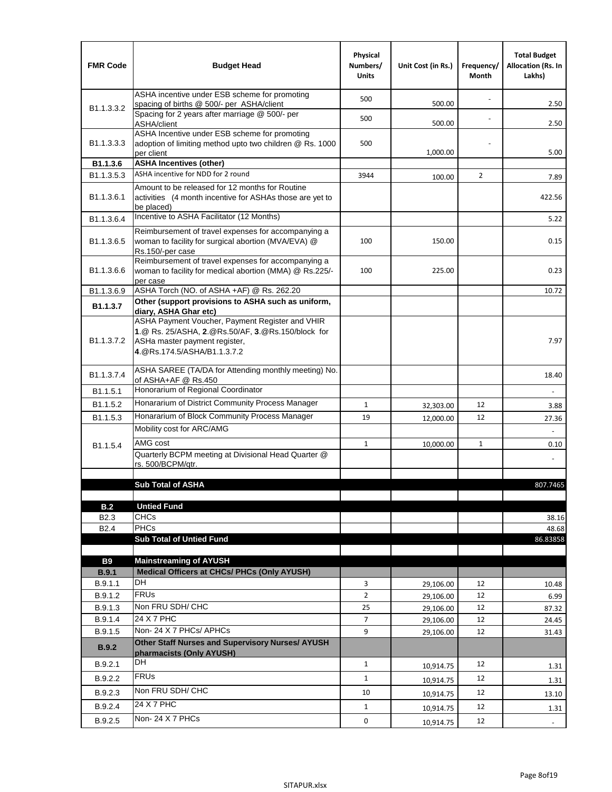| <b>FMR Code</b>            | <b>Budget Head</b>                                                                                                                                                                             | Physical<br>Numbers/<br><b>Units</b> | Unit Cost (in Rs.) | Frequency/<br>Month | <b>Total Budget</b><br><b>Allocation (Rs. In</b><br>Lakhs) |
|----------------------------|------------------------------------------------------------------------------------------------------------------------------------------------------------------------------------------------|--------------------------------------|--------------------|---------------------|------------------------------------------------------------|
|                            | ASHA incentive under ESB scheme for promoting<br>spacing of births @ 500/- per ASHA/client                                                                                                     | 500                                  | 500.00             |                     | 2.50                                                       |
| B <sub>1.1</sub> , 3, 3, 2 | Spacing for 2 years after marriage @ 500/- per<br>ASHA/client                                                                                                                                  | 500                                  | 500.00             |                     | 2.50                                                       |
| B1.1.3.3.3                 | ASHA Incentive under ESB scheme for promoting<br>adoption of limiting method upto two children @ Rs. 1000<br>per client                                                                        | 500                                  | 1,000.00           |                     | 5.00                                                       |
| B1.1.3.6                   | <b>ASHA Incentives (other)</b>                                                                                                                                                                 |                                      |                    |                     |                                                            |
| B <sub>1.1</sub> , 3, 5, 3 | ASHA incentive for NDD for 2 round                                                                                                                                                             | 3944                                 | 100.00             | $\overline{2}$      | 7.89                                                       |
| B <sub>1.1</sub> .3.6.1    | Amount to be released for 12 months for Routine<br>activities (4 month incentive for ASHAs those are yet to<br>be placed)                                                                      |                                      |                    |                     | 422.56                                                     |
| B1.1.3.6.4                 | Incentive to ASHA Facilitator (12 Months)                                                                                                                                                      |                                      |                    |                     | 5.22                                                       |
| B <sub>1.1</sub> .3.6.5    | Reimbursement of travel expenses for accompanying a<br>woman to facility for surgical abortion (MVA/EVA) @<br>Rs.150/-per case                                                                 | 100                                  | 150.00             |                     | 0.15                                                       |
| B <sub>1.1</sub> .3.6.6    | Reimbursement of travel expenses for accompanying a<br>woman to facility for medical abortion (MMA) @ Rs.225/-<br>per case                                                                     | 100                                  | 225.00             |                     | 0.23                                                       |
| B1.1.3.6.9                 | ASHA Torch (NO. of ASHA +AF) @ Rs. 262.20                                                                                                                                                      |                                      |                    |                     | 10.72                                                      |
| B1.1.3.7                   | Other (support provisions to ASHA such as uniform,                                                                                                                                             |                                      |                    |                     |                                                            |
| B <sub>1.1</sub> .3.7.2    | diary, ASHA Ghar etc)<br>ASHA Payment Voucher, Payment Register and VHIR<br>1.@ Rs. 25/ASHA, 2.@Rs.50/AF, 3.@Rs.150/block for<br>ASHa master payment register,<br>4. @Rs.174.5/ASHA/B1.1.3.7.2 |                                      |                    |                     | 7.97                                                       |
| B <sub>1.1</sub> , 3.7.4   | ASHA SAREE (TA/DA for Attending monthly meeting) No.<br>of ASHA+AF @ Rs.450                                                                                                                    |                                      |                    |                     | 18.40                                                      |
| B <sub>1.1</sub> .5.1      | Honorarium of Regional Coordinator                                                                                                                                                             |                                      |                    |                     |                                                            |
| B1.1.5.2                   | Honararium of District Community Process Manager                                                                                                                                               | $\mathbf{1}$                         | 32,303.00          | 12                  | 3.88                                                       |
| B1.1.5.3                   | Honararium of Block Community Process Manager                                                                                                                                                  | 19                                   | 12,000.00          | 12                  | 27.36                                                      |
|                            | Mobility cost for ARC/AMG                                                                                                                                                                      |                                      |                    |                     |                                                            |
| B <sub>1.1.5.4</sub>       | AMG cost                                                                                                                                                                                       | $\mathbf{1}$                         | 10,000.00          | $\mathbf{1}$        | 0.10                                                       |
|                            | Quarterly BCPM meeting at Divisional Head Quarter @                                                                                                                                            |                                      |                    |                     |                                                            |
|                            | rs. 500/BCPM/qtr.                                                                                                                                                                              |                                      |                    |                     |                                                            |
|                            | <b>Sub Total of ASHA</b>                                                                                                                                                                       |                                      |                    |                     | 807.7465                                                   |
|                            |                                                                                                                                                                                                |                                      |                    |                     |                                                            |
| B.2                        | <b>Untied Fund</b>                                                                                                                                                                             |                                      |                    |                     |                                                            |
| B <sub>2.3</sub>           | <b>CHCs</b>                                                                                                                                                                                    |                                      |                    |                     | 38.16                                                      |
| B <sub>2.4</sub>           | PHCs                                                                                                                                                                                           |                                      |                    |                     | 48.68                                                      |
|                            | <b>Sub Total of Untied Fund</b>                                                                                                                                                                |                                      |                    |                     | 86.83858                                                   |
| <b>B9</b>                  | <b>Mainstreaming of AYUSH</b>                                                                                                                                                                  |                                      |                    |                     |                                                            |
| B.9.1                      | Medical Officers at CHCs/ PHCs (Only AYUSH)                                                                                                                                                    |                                      |                    |                     |                                                            |
| B.9.1.1                    | <b>DH</b>                                                                                                                                                                                      | 3                                    | 29,106.00          | 12                  | 10.48                                                      |
| B.9.1.2                    | <b>FRUs</b>                                                                                                                                                                                    | $\overline{2}$                       | 29,106.00          | 12                  | 6.99                                                       |
| B.9.1.3                    | Non FRU SDH/ CHC                                                                                                                                                                               | 25                                   | 29,106.00          | 12                  | 87.32                                                      |
| B.9.1.4                    | 24 X 7 PHC                                                                                                                                                                                     | 7                                    | 29,106.00          | 12                  | 24.45                                                      |
| B.9.1.5                    | Non-24 X 7 PHCs/ APHCs                                                                                                                                                                         | 9                                    | 29,106.00          | 12                  | 31.43                                                      |
| <b>B.9.2</b>               | Other Staff Nurses and Supervisory Nurses/ AYUSH<br>pharmacists (Only AYUSH)                                                                                                                   |                                      |                    |                     |                                                            |
| B.9.2.1                    | DH                                                                                                                                                                                             | $\mathbf{1}$                         | 10,914.75          | 12                  | 1.31                                                       |
| B.9.2.2                    | <b>FRUs</b>                                                                                                                                                                                    | $\mathbf{1}$                         | 10,914.75          | 12                  | 1.31                                                       |
| B.9.2.3                    | Non FRU SDH/ CHC                                                                                                                                                                               | 10                                   | 10,914.75          | 12                  | 13.10                                                      |
| B.9.2.4                    | 24 X 7 PHC                                                                                                                                                                                     | $\mathbf{1}$                         | 10,914.75          | 12                  | 1.31                                                       |
| B.9.2.5                    | Non-24 X 7 PHCs                                                                                                                                                                                | 0                                    |                    | 12                  |                                                            |
|                            |                                                                                                                                                                                                |                                      | 10,914.75          |                     | $\overline{\phantom{a}}$                                   |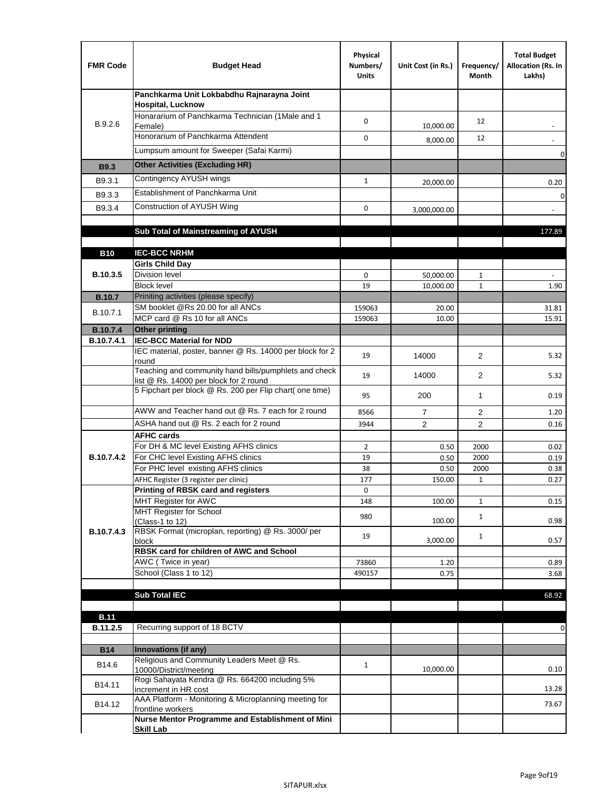| <b>FMR Code</b>               | <b>Budget Head</b>                                                                              | Physical<br>Numbers/<br><b>Units</b> | Unit Cost (in Rs.) | Frequency/<br>Month | <b>Total Budget</b><br>Allocation (Rs. In<br>Lakhs) |
|-------------------------------|-------------------------------------------------------------------------------------------------|--------------------------------------|--------------------|---------------------|-----------------------------------------------------|
|                               | Panchkarma Unit Lokbabdhu Rajnarayna Joint<br><b>Hospital, Lucknow</b>                          |                                      |                    |                     |                                                     |
| B.9.2.6                       | Honararium of Panchkarma Technician (1Male and 1<br>Female)                                     | 0                                    | 10,000.00          | 12                  |                                                     |
|                               | Honorarium of Panchkarma Attendent                                                              | $\mathbf 0$                          | 8,000.00           | 12                  |                                                     |
|                               | Lumpsum amount for Sweeper (Safai Karmi)                                                        |                                      |                    |                     | 0                                                   |
| <b>B9.3</b>                   | <b>Other Activities (Excluding HR)</b>                                                          |                                      |                    |                     |                                                     |
| B9.3.1                        | Contingency AYUSH wings                                                                         | $\mathbf{1}$                         | 20,000.00          |                     | 0.20                                                |
| B9.3.3                        | Establishment of Panchkarma Unit                                                                |                                      |                    |                     | $\mathbf 0$                                         |
| B9.3.4                        | Construction of AYUSH Wing                                                                      | 0                                    | 3,000,000.00       |                     |                                                     |
|                               |                                                                                                 |                                      |                    |                     |                                                     |
|                               | Sub Total of Mainstreaming of AYUSH                                                             |                                      |                    |                     | 177.89                                              |
|                               |                                                                                                 |                                      |                    |                     |                                                     |
| <b>B10</b>                    | <b>IEC-BCC NRHM</b>                                                                             |                                      |                    |                     |                                                     |
| B.10.3.5                      | <b>Girls Child Day</b><br><b>Division level</b>                                                 | 0                                    | 50,000.00          | 1                   |                                                     |
|                               | <b>Block level</b>                                                                              | 19                                   | 10,000.00          | $\mathbf{1}$        | 1.90                                                |
| <b>B.10.7</b>                 | Priniting activities (please specify)                                                           |                                      |                    |                     |                                                     |
| B.10.7.1                      | SM booklet @Rs 20.00 for all ANCs                                                               | 159063                               | 20.00              |                     | 31.81                                               |
|                               | MCP card @ Rs 10 for all ANCs                                                                   | 159063                               | 10.00              |                     | 15.91                                               |
| <b>B.10.7.4</b><br>B.10.7.4.1 | <b>Other printing</b><br><b>IEC-BCC Material for NDD</b>                                        |                                      |                    |                     |                                                     |
|                               | IEC material, poster, banner @ Rs. 14000 per block for 2<br>round                               | 19                                   | 14000              | $\overline{2}$      | 5.32                                                |
|                               | Teaching and community hand bills/pumphlets and check<br>list @ Rs. 14000 per block for 2 round | 19                                   | 14000              | $\overline{2}$      | 5.32                                                |
|                               | 5 Fipchart per block @ Rs. 200 per Flip chart( one time)                                        | 95                                   | 200                | 1                   | 0.19                                                |
|                               | AWW and Teacher hand out @ Rs. 7 each for 2 round                                               | 8566                                 | $\overline{7}$     | $\overline{2}$      | 1.20                                                |
|                               | ASHA hand out @ Rs. 2 each for 2 round                                                          | 3944                                 | $\overline{2}$     | 2                   | 0.16                                                |
|                               | <b>AFHC cards</b>                                                                               |                                      |                    |                     |                                                     |
|                               | For DH & MC level Existing AFHS clinics                                                         | 2                                    | 0.50               | 2000                | 0.02                                                |
| B.10.7.4.2                    | For CHC level Existing AFHS clinics<br>For PHC level existing AFHS clinics                      | 19<br>38                             | 0.50<br>0.50       | 2000<br>2000        | 0.19<br>0.38                                        |
|                               | AFHC Register (3 register per clinic)                                                           | 177                                  | 150.00             | $\mathbf{1}$        | 0.27                                                |
|                               | Printing of RBSK card and registers                                                             | 0                                    |                    |                     |                                                     |
|                               | MHT Register for AWC                                                                            | 148                                  | 100.00             | $\mathbf{1}$        | 0.15                                                |
|                               | MHT Register for School<br>(Class-1 to 12)                                                      | 980                                  | 100.00             | $\mathbf{1}$        | 0.98                                                |
| B.10.7.4.3                    | RBSK Format (microplan, reporting) @ Rs. 3000/ per                                              | 19                                   |                    | $\mathbf{1}$        |                                                     |
|                               | block<br>RBSK card for children of AWC and School                                               |                                      | 3,000.00           |                     | 0.57                                                |
|                               | AWC (Twice in year)                                                                             | 73860                                | 1.20               |                     | 0.89                                                |
|                               | School (Class 1 to 12)                                                                          | 490157                               | 0.75               |                     | 3.68                                                |
|                               |                                                                                                 |                                      |                    |                     |                                                     |
|                               | <b>Sub Total IEC</b>                                                                            |                                      |                    |                     | 68.92                                               |
| <b>B.11</b>                   |                                                                                                 |                                      |                    |                     |                                                     |
| B.11.2.5                      | Recurring support of 18 BCTV                                                                    |                                      |                    |                     | 0                                                   |
|                               |                                                                                                 |                                      |                    |                     |                                                     |
| <b>B14</b>                    | Innovations (if any)                                                                            |                                      |                    |                     |                                                     |
| B14.6                         | Religious and Community Leaders Meet @ Rs.<br>10000/District/meeting                            | $\mathbf{1}$                         | 10,000.00          |                     | 0.10                                                |
| B14.11                        | Rogi Sahayata Kendra @ Rs. 664200 including 5%<br>increment in HR cost                          |                                      |                    |                     | 13.28                                               |
| B14.12                        | AAA Platform - Monitoring & Microplanning meeting for<br>frontline workers                      |                                      |                    |                     | 73.67                                               |
|                               | Nurse Mentor Programme and Establishment of Mini                                                |                                      |                    |                     |                                                     |
|                               | <b>Skill Lab</b>                                                                                |                                      |                    |                     |                                                     |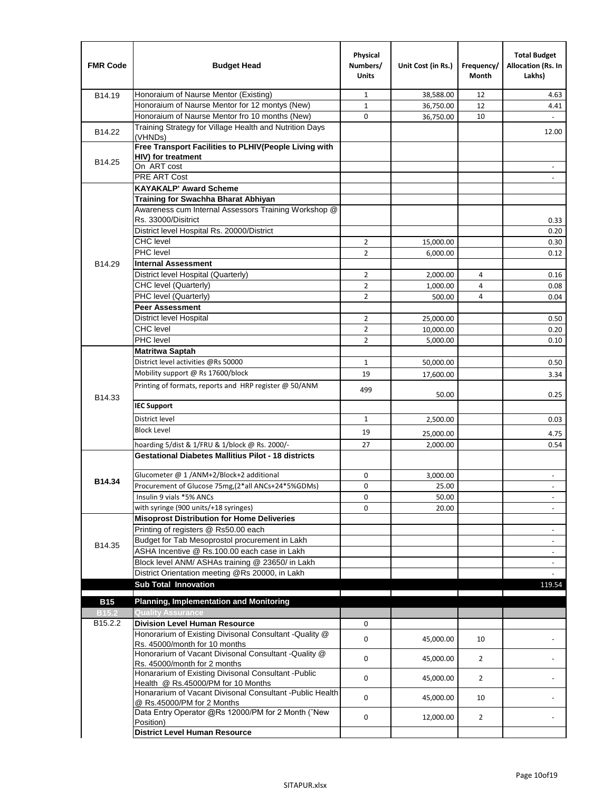| <b>FMR Code</b> | <b>Budget Head</b>                                                                              | Physical<br>Numbers/<br><b>Units</b> | Unit Cost (in Rs.)    | Frequency/<br><b>Month</b> | <b>Total Budget</b><br>Allocation (Rs. In<br>Lakhs) |
|-----------------|-------------------------------------------------------------------------------------------------|--------------------------------------|-----------------------|----------------------------|-----------------------------------------------------|
| B14.19          | Honoraium of Naurse Mentor (Existing)                                                           | $\mathbf{1}$                         | 38,588.00             | 12                         | 4.63                                                |
|                 | Honoraium of Naurse Mentor for 12 montys (New)                                                  | $\mathbf{1}$                         | 36,750.00             | 12                         | 4.41                                                |
|                 | Honoraium of Naurse Mentor fro 10 months (New)                                                  | 0                                    | 36,750.00             | 10                         | $\omega$                                            |
| B14.22          | Training Strategy for Village Health and Nutrition Days<br>(VHNDs)                              |                                      |                       |                            | 12.00                                               |
|                 | Free Transport Facilities to PLHIV(People Living with                                           |                                      |                       |                            |                                                     |
| B14.25          | <b>HIV)</b> for treatment                                                                       |                                      |                       |                            |                                                     |
|                 | On ART cost                                                                                     |                                      |                       |                            |                                                     |
|                 | PRE ART Cost                                                                                    |                                      |                       |                            |                                                     |
|                 | <b>KAYAKALP' Award Scheme</b>                                                                   |                                      |                       |                            |                                                     |
|                 | Training for Swachha Bharat Abhiyan                                                             |                                      |                       |                            |                                                     |
|                 | Awareness cum Internal Assessors Training Workshop @                                            |                                      |                       |                            |                                                     |
|                 | Rs. 33000/Disitrict                                                                             |                                      |                       |                            | 0.33                                                |
|                 | District level Hospital Rs. 20000/District<br><b>CHC</b> level                                  |                                      |                       |                            | 0.20                                                |
|                 | PHC level                                                                                       | $\overline{2}$                       | 15,000.00             |                            | 0.30                                                |
|                 |                                                                                                 | $\overline{2}$                       | 6,000.00              |                            | 0.12                                                |
| B14.29          | <b>Internal Assessment</b>                                                                      |                                      |                       |                            |                                                     |
|                 | District level Hospital (Quarterly)<br>CHC level (Quarterly)                                    | $\overline{2}$                       | 2,000.00              | 4                          | 0.16                                                |
|                 |                                                                                                 | $\overline{2}$                       | 1,000.00              | 4                          | 0.08                                                |
|                 | PHC level (Quarterly)<br><b>Peer Assessment</b>                                                 | $\overline{2}$                       | 500.00                | 4                          | 0.04                                                |
|                 | <b>District level Hospital</b>                                                                  | $\overline{2}$                       |                       |                            |                                                     |
|                 | <b>CHC</b> level                                                                                | $\overline{2}$                       | 25,000.00             |                            | 0.50                                                |
|                 | PHC level                                                                                       | $\overline{2}$                       | 10,000.00<br>5,000.00 |                            | 0.20<br>0.10                                        |
|                 | <b>Matritwa Saptah</b>                                                                          |                                      |                       |                            |                                                     |
|                 | District level activities @Rs 50000                                                             | $\mathbf{1}$                         | 50,000.00             |                            | 0.50                                                |
|                 | Mobility support @ Rs 17600/block                                                               | 19                                   |                       |                            |                                                     |
|                 |                                                                                                 |                                      | 17,600.00             |                            | 3.34                                                |
| B14.33          | Printing of formats, reports and HRP register @ 50/ANM                                          | 499                                  | 50.00                 |                            | 0.25                                                |
|                 | <b>IEC Support</b>                                                                              |                                      |                       |                            |                                                     |
|                 | District level                                                                                  | $\mathbf{1}$                         | 2,500.00              |                            | 0.03                                                |
|                 | <b>Block Level</b>                                                                              | 19                                   | 25,000.00             |                            | 4.75                                                |
|                 | hoarding 5/dist & 1/FRU & 1/block @ Rs. 2000/-                                                  | 27                                   | 2,000.00              |                            | 0.54                                                |
|                 | <b>Gestational Diabetes Mallitius Pilot - 18 districts</b>                                      |                                      |                       |                            |                                                     |
|                 | Glucometer @ 1 /ANM+2/Block+2 additional                                                        | 0                                    | 3.000.00              |                            | $\overline{\phantom{a}}$                            |
| B14.34          | Procurement of Glucose 75mg, (2*all ANCs+24*5%GDMs)                                             | $\mathbf 0$                          | 25.00                 |                            |                                                     |
|                 | Insulin 9 vials *5% ANCs                                                                        | 0                                    | 50.00                 |                            | $\blacksquare$                                      |
|                 | with syringe (900 units/+18 syringes)                                                           | 0                                    | 20.00                 |                            |                                                     |
|                 | <b>Misoprost Distribution for Home Deliveries</b>                                               |                                      |                       |                            |                                                     |
|                 | Printing of registers @ Rs50.00 each                                                            |                                      |                       |                            | $\overline{\phantom{a}}$                            |
|                 | Budget for Tab Mesoprostol procurement in Lakh                                                  |                                      |                       |                            | $\blacksquare$                                      |
| B14.35          | ASHA Incentive @ Rs.100.00 each case in Lakh                                                    |                                      |                       |                            |                                                     |
|                 | Block level ANM/ ASHAs training @ 23650/ in Lakh                                                |                                      |                       |                            | $\blacksquare$                                      |
|                 | District Orientation meeting @Rs 20000, in Lakh                                                 |                                      |                       |                            |                                                     |
|                 | <b>Sub Total Innovation</b>                                                                     |                                      |                       |                            | 119.54                                              |
| <b>B15</b>      | <b>Planning, Implementation and Monitoring</b>                                                  |                                      |                       |                            |                                                     |
| <b>B15.2</b>    | <b>Quality Assurance</b>                                                                        |                                      |                       |                            |                                                     |
| B15.2.2         | <b>Division Level Human Resource</b>                                                            | 0                                    |                       |                            |                                                     |
|                 | Honorarium of Existing Divisonal Consultant -Quality @                                          |                                      |                       |                            |                                                     |
|                 | Rs. 45000/month for 10 months                                                                   | $\mathbf 0$                          | 45,000.00             | 10                         |                                                     |
|                 | Honorarium of Vacant Divisonal Consultant -Quality @<br>Rs. 45000/month for 2 months            | $\mathbf 0$                          | 45,000.00             | $\overline{2}$             |                                                     |
|                 | Honararium of Existing Divisonal Consultant - Public                                            | $\mathbf 0$                          | 45,000.00             | $\overline{2}$             |                                                     |
|                 | Health @ Rs.45000/PM for 10 Months<br>Honararium of Vacant Divisonal Consultant - Public Health |                                      |                       |                            |                                                     |
|                 | @ Rs.45000/PM for 2 Months                                                                      | $\mathbf 0$                          | 45,000.00             | 10                         |                                                     |
|                 | Data Entry Operator @Rs 12000/PM for 2 Month ("New<br>Position)                                 | 0                                    | 12,000.00             | $\overline{2}$             |                                                     |
|                 | <b>District Level Human Resource</b>                                                            |                                      |                       |                            |                                                     |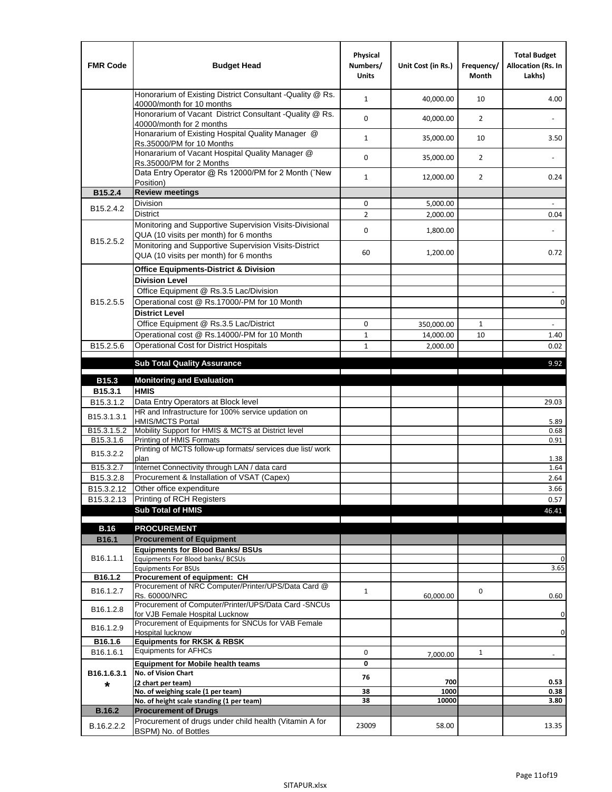| <b>FMR Code</b>         | <b>Budget Head</b>                                                                                | Physical<br>Numbers/<br><b>Units</b> | Unit Cost (in Rs.) | Frequency/<br><b>Month</b> | <b>Total Budget</b><br>Allocation (Rs. In<br>Lakhs) |
|-------------------------|---------------------------------------------------------------------------------------------------|--------------------------------------|--------------------|----------------------------|-----------------------------------------------------|
|                         | Honorarium of Existing District Consultant -Quality @ Rs.<br>40000/month for 10 months            | $\mathbf{1}$                         | 40,000.00          | 10                         | 4.00                                                |
|                         | Honorarium of Vacant District Consultant -Quality @ Rs.<br>40000/month for 2 months               | $\mathbf 0$                          | 40,000.00          | $\overline{2}$             |                                                     |
|                         | Honararium of Existing Hospital Quality Manager @<br>Rs.35000/PM for 10 Months                    | $\mathbf{1}$                         | 35,000.00          | 10                         | 3.50                                                |
|                         | Honararium of Vacant Hospital Quality Manager @<br>Rs.35000/PM for 2 Months                       | $\mathbf 0$                          | 35,000.00          | $\overline{2}$             |                                                     |
|                         | Data Entry Operator @ Rs 12000/PM for 2 Month ("New<br>Position)                                  | $\mathbf{1}$                         | 12,000.00          | $\overline{2}$             | 0.24                                                |
| B15.2.4                 | <b>Review meetings</b>                                                                            |                                      |                    |                            |                                                     |
| B <sub>15.2</sub> .4.2  | Division                                                                                          | 0                                    | 5,000.00           |                            |                                                     |
|                         | <b>District</b>                                                                                   | $\overline{2}$                       | 2,000.00           |                            | 0.04                                                |
|                         | Monitoring and Supportive Supervision Visits-Divisional<br>QUA (10 visits per month) for 6 months | $\mathbf 0$                          | 1,800.00           |                            |                                                     |
| B15.2.5.2               | Monitoring and Supportive Supervision Visits-District<br>QUA (10 visits per month) for 6 months   | 60                                   | 1,200.00           |                            | 0.72                                                |
|                         | <b>Office Equipments-District &amp; Division</b>                                                  |                                      |                    |                            |                                                     |
|                         | <b>Division Level</b>                                                                             |                                      |                    |                            |                                                     |
|                         | Office Equipment @ Rs.3.5 Lac/Division                                                            |                                      |                    |                            | $\overline{\phantom{a}}$                            |
| B15.2.5.5               | Operational cost @ Rs.17000/-PM for 10 Month                                                      |                                      |                    |                            | $\pmb{0}$                                           |
|                         | <b>District Level</b>                                                                             |                                      |                    |                            |                                                     |
|                         | Office Equipment @ Rs.3.5 Lac/District                                                            | 0                                    | 350,000.00         | $\mathbf{1}$               | $\blacksquare$                                      |
|                         | Operational cost @ Rs.14000/-PM for 10 Month                                                      | $1\,$                                | 14,000.00          | 10                         | 1.40                                                |
| B15.2.5.6               | <b>Operational Cost for District Hospitals</b>                                                    | $\mathbf{1}$                         | 2,000.00           |                            | 0.02                                                |
|                         | <b>Sub Total Quality Assurance</b>                                                                |                                      |                    |                            | 9.92                                                |
| B15.3                   | <b>Monitoring and Evaluation</b>                                                                  |                                      |                    |                            |                                                     |
| B15.3.1                 | <b>HMIS</b>                                                                                       |                                      |                    |                            |                                                     |
| B15.3.1.2               | Data Entry Operators at Block level                                                               |                                      |                    |                            | 29.03                                               |
| B15.3.1.3.1             | HR and Infrastructure for 100% service updation on<br><b>HMIS/MCTS Portal</b>                     |                                      |                    |                            | 5.89                                                |
| B <sub>15.3.1.5.2</sub> | Mobility Support for HMIS & MCTS at District level                                                |                                      |                    |                            | 0.68                                                |
| B15.3.1.6               | Printing of HMIS Formats<br>Printing of MCTS follow-up formats/ services due list/ work           |                                      |                    |                            | 0.91                                                |
| B15.3.2.2               | plan                                                                                              |                                      |                    |                            | 1.38                                                |
| B15.3.2.7               | Internet Connectivity through LAN / data card                                                     |                                      |                    |                            | 1.64                                                |
| B15.3.2.8               | Procurement & Installation of VSAT (Capex)                                                        |                                      |                    |                            | 2.64                                                |
| B15.3.2.12              | Other office expenditure                                                                          |                                      |                    |                            | 3.66                                                |
| B15.3.2.13              | Printing of RCH Registers                                                                         |                                      |                    |                            | 0.57                                                |
|                         | <b>Sub Total of HMIS</b>                                                                          |                                      |                    |                            | 46.41                                               |
| <b>B.16</b>             | <b>PROCUREMENT</b>                                                                                |                                      |                    |                            |                                                     |
| B16.1                   | <b>Procurement of Equipment</b>                                                                   |                                      |                    |                            |                                                     |
|                         | <b>Equipments for Blood Banks/ BSUs</b>                                                           |                                      |                    |                            |                                                     |
| B16.1.1.1               | Equipments For Blood banks/ BCSUs                                                                 |                                      |                    |                            | 0                                                   |
| B16.1.2                 | <b>Equipments For BSUs</b><br>Procurement of equipment: CH                                        |                                      |                    |                            | 3.65                                                |
| B16.1.2.7               | Procurement of NRC Computer/Printer/UPS/Data Card @                                               | $\mathbf{1}$                         |                    |                            |                                                     |
|                         | Rs. 60000/NRC                                                                                     |                                      | 60,000.00          | 0                          | 0.60                                                |
| B16.1.2.8               | Procurement of Computer/Printer/UPS/Data Card -SNCUs                                              |                                      |                    |                            |                                                     |
|                         | for VJB Female Hospital Lucknow<br>Procurement of Equipments for SNCUs for VAB Female             |                                      |                    |                            | 0                                                   |
| B16.1.2.9               | Hospital lucknow                                                                                  |                                      |                    |                            | 0                                                   |
| B16.1.6                 | <b>Equipments for RKSK &amp; RBSK</b>                                                             |                                      |                    |                            |                                                     |
| B16.1.6.1               | <b>Equipments for AFHCs</b>                                                                       | 0                                    | 7,000.00           | $\mathbf{1}$               | ÷,                                                  |
|                         | <b>Equipment for Mobile health teams</b>                                                          | 0                                    |                    |                            |                                                     |
| B16.1.6.3.1<br>*        | No. of Vision Chart<br>(2 chart per team)                                                         | 76                                   | 700                |                            | 0.53                                                |
|                         | No. of weighing scale (1 per team)                                                                | 38                                   | 1000               |                            | 0.38                                                |
|                         | No. of height scale standing (1 per team)                                                         | 38                                   | 10000              |                            | 3.80                                                |
| <b>B.16.2</b>           | <b>Procurement of Drugs</b>                                                                       |                                      |                    |                            |                                                     |
| B.16.2.2.2              | Procurement of drugs under child health (Vitamin A for<br>BSPM) No. of Bottles                    | 23009                                | 58.00              |                            | 13.35                                               |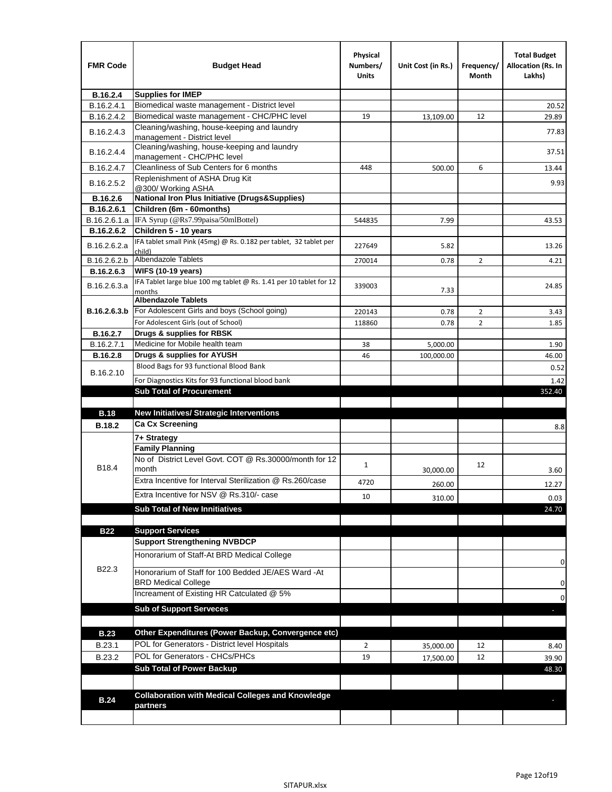| <b>FMR Code</b> | <b>Budget Head</b>                                                           | Physical<br>Numbers/<br><b>Units</b> | Unit Cost (in Rs.) | Frequency/<br>Month              | <b>Total Budget</b><br>Allocation (Rs. In<br>Lakhs) |
|-----------------|------------------------------------------------------------------------------|--------------------------------------|--------------------|----------------------------------|-----------------------------------------------------|
| B.16.2.4        | <b>Supplies for IMEP</b>                                                     |                                      |                    |                                  |                                                     |
| B.16.2.4.1      | Biomedical waste management - District level                                 |                                      |                    |                                  | 20.52                                               |
| B.16.2.4.2      | Biomedical waste management - CHC/PHC level                                  | 19                                   | 13,109.00          | 12                               | 29.89                                               |
| B.16.2.4.3      | Cleaning/washing, house-keeping and laundry<br>management - District level   |                                      |                    |                                  | 77.83                                               |
| B.16.2.4.4      | Cleaning/washing, house-keeping and laundry<br>management - CHC/PHC level    |                                      |                    |                                  | 37.51                                               |
| B.16.2.4.7      | Cleanliness of Sub Centers for 6 months                                      | 448                                  | 500.00             | 6                                | 13.44                                               |
| B.16.2.5.2      | Replenishment of ASHA Drug Kit<br>@300/ Working ASHA                         |                                      |                    |                                  | 9.93                                                |
| B.16.2.6        | <b>National Iron Plus Initiative (Drugs&amp;Supplies)</b>                    |                                      |                    |                                  |                                                     |
| B.16.2.6.1      | Children (6m - 60months)                                                     |                                      |                    |                                  |                                                     |
| B.16.2.6.1.a    | IFA Syrup (@Rs7.99paisa/50mlBottel)                                          | 544835                               | 7.99               |                                  | 43.53                                               |
| B.16.2.6.2      | Children 5 - 10 years                                                        |                                      |                    |                                  |                                                     |
| B.16.2.6.2.a    | IFA tablet small Pink (45mg) @ Rs. 0.182 per tablet, 32 tablet per<br>child) | 227649                               | 5.82               |                                  | 13.26                                               |
| B.16.2.6.2.b    | <b>Albendazole Tablets</b>                                                   | 270014                               | 0.78               | 2                                | 4.21                                                |
| B.16.2.6.3      | <b>WIFS (10-19 years)</b>                                                    |                                      |                    |                                  |                                                     |
|                 | IFA Tablet large blue 100 mg tablet @ Rs. 1.41 per 10 tablet for 12          |                                      |                    |                                  |                                                     |
| B.16.2.6.3.a    | months                                                                       | 339003                               | 7.33               |                                  | 24.85                                               |
| B.16.2.6.3.b    | <b>Albendazole Tablets</b><br>For Adolescent Girls and boys (School going)   |                                      |                    |                                  |                                                     |
|                 | For Adolescent Girls (out of School)                                         | 220143                               | 0.78               | $\overline{2}$<br>$\overline{2}$ | 3.43                                                |
| B.16.2.7        | Drugs & supplies for RBSK                                                    | 118860                               | 0.78               |                                  | 1.85                                                |
| B.16.2.7.1      | Medicine for Mobile health team                                              | 38                                   | 5,000.00           |                                  | 1.90                                                |
| <b>B.16.2.8</b> | Drugs & supplies for AYUSH                                                   | 46                                   | 100,000.00         |                                  | 46.00                                               |
|                 | Blood Bags for 93 functional Blood Bank                                      |                                      |                    |                                  | 0.52                                                |
| B.16.2.10       | For Diagnostics Kits for 93 functional blood bank                            |                                      |                    |                                  | 1.42                                                |
|                 | <b>Sub Total of Procurement</b>                                              |                                      |                    |                                  | 352.40                                              |
| <b>B.18</b>     | <b>New Initiatives/ Strategic Interventions</b>                              |                                      |                    |                                  |                                                     |
|                 | <b>Ca Cx Screening</b>                                                       |                                      |                    |                                  |                                                     |
| <b>B.18.2</b>   |                                                                              |                                      |                    |                                  | 8.8                                                 |
|                 | 7+ Strategy<br><b>Family Planning</b>                                        |                                      |                    |                                  |                                                     |
| B18.4           | No of District Level Govt. COT @ Rs.30000/month for 12<br>month              | $\mathbf{1}$                         | 30,000.00          | 12                               | 3.60                                                |
|                 | Extra Incentive for Interval Sterilization @ Rs.260/case                     | 4720                                 |                    |                                  |                                                     |
|                 | Extra Incentive for NSV @ Rs.310/- case                                      |                                      | 260.00             |                                  | 12.27                                               |
|                 |                                                                              | 10                                   | 310.00             |                                  | 0.03                                                |
|                 | <b>Sub Total of New Innitiatives</b>                                         |                                      |                    |                                  | 24.70                                               |
| <b>B22</b>      | <b>Support Services</b>                                                      |                                      |                    |                                  |                                                     |
|                 | <b>Support Strengthening NVBDCP</b>                                          |                                      |                    |                                  |                                                     |
|                 |                                                                              |                                      |                    |                                  |                                                     |
|                 | Honorarium of Staff-At BRD Medical College                                   |                                      |                    |                                  |                                                     |
| B22.3           | Honorarium of Staff for 100 Bedded JE/AES Ward -At                           |                                      |                    |                                  | 0                                                   |
|                 | <b>BRD Medical College</b><br>Increament of Existing HR Catculated @ 5%      |                                      |                    |                                  | 0                                                   |
|                 |                                                                              |                                      |                    |                                  | 0                                                   |
|                 | <b>Sub of Support Serveces</b>                                               |                                      |                    |                                  |                                                     |
|                 |                                                                              |                                      |                    |                                  |                                                     |
| <b>B.23</b>     | Other Expenditures (Power Backup, Convergence etc)                           |                                      |                    |                                  |                                                     |
| B.23.1          | POL for Generators - District level Hospitals                                | $\overline{2}$                       | 35,000.00          | 12                               | 8.40                                                |
| B.23.2          | POL for Generators - CHCs/PHCs                                               | 19                                   | 17,500.00          | 12                               | 39.90                                               |
|                 | <b>Sub Total of Power Backup</b>                                             |                                      |                    |                                  | 48.30                                               |
|                 |                                                                              |                                      |                    |                                  |                                                     |
| <b>B.24</b>     | <b>Collaboration with Medical Colleges and Knowledge</b><br>partners         |                                      |                    |                                  |                                                     |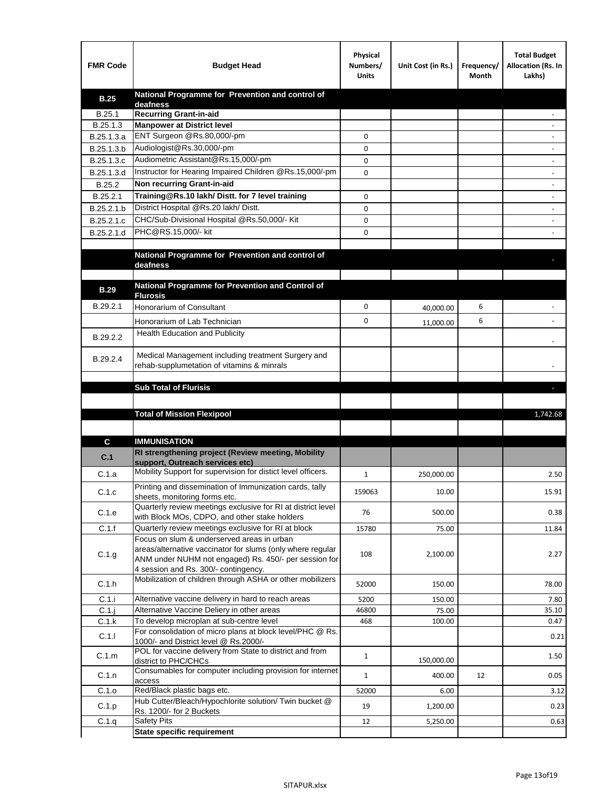| <b>FMR Code</b> | <b>Budget Head</b>                                                                                   | Physical<br>Numbers/<br><b>Units</b> | Unit Cost (in Rs.) | Frequency/<br>Month | <b>Total Budget</b><br>Allocation (Rs. In<br>Lakhs) |
|-----------------|------------------------------------------------------------------------------------------------------|--------------------------------------|--------------------|---------------------|-----------------------------------------------------|
| <b>B.25</b>     | National Programme for Prevention and control of                                                     |                                      |                    |                     |                                                     |
| B.25.1          | deafness<br><b>Recurring Grant-in-aid</b>                                                            |                                      |                    |                     |                                                     |
| B.25.1.3        | <b>Manpower at District level</b>                                                                    |                                      |                    |                     |                                                     |
| B.25.1.3.a      | ENT Surgeon @Rs.80,000/-pm                                                                           | 0                                    |                    |                     |                                                     |
| B.25.1.3.b      | Audiologist@Rs.30,000/-pm                                                                            | 0                                    |                    |                     |                                                     |
| B.25.1.3.c      | Audiometric Assistant@Rs.15,000/-pm                                                                  | 0                                    |                    |                     |                                                     |
| B.25.1.3.d      | Instructor for Hearing Impaired Children @Rs.15,000/-pm                                              | 0                                    |                    |                     |                                                     |
| B.25.2          | Non recurring Grant-in-aid                                                                           |                                      |                    |                     |                                                     |
| B.25.2.1        | Training@Rs.10 lakh/ Distt. for 7 level training                                                     | 0                                    |                    |                     |                                                     |
| B.25.2.1.b      | District Hospital @Rs.20 lakh/Distt.                                                                 | 0                                    |                    |                     |                                                     |
| B.25.2.1.c      | CHC/Sub-Divisional Hospital @Rs.50,000/- Kit                                                         | 0                                    |                    |                     |                                                     |
| B.25.2.1.d      | PHC@RS.15,000/- kit                                                                                  | 0                                    |                    |                     |                                                     |
|                 |                                                                                                      |                                      |                    |                     |                                                     |
|                 | National Programme for Prevention and control of<br>deafness                                         |                                      |                    |                     |                                                     |
|                 |                                                                                                      |                                      |                    |                     |                                                     |
| <b>B.29</b>     | National Programme for Prevention and Control of                                                     |                                      |                    |                     |                                                     |
|                 | <b>Flurosis</b>                                                                                      |                                      |                    |                     |                                                     |
| B.29.2.1        | <b>Honorarium of Consultant</b>                                                                      | 0                                    | 40,000.00          | 6                   |                                                     |
|                 | Honorarium of Lab Technician                                                                         | 0                                    | 11,000.00          | 6                   |                                                     |
| B.29.2.2        | <b>Health Education and Publicity</b>                                                                |                                      |                    |                     |                                                     |
|                 |                                                                                                      |                                      |                    |                     |                                                     |
| B.29.2.4        | Medical Management including treatment Surgery and                                                   |                                      |                    |                     |                                                     |
|                 | rehab-supplumetation of vitamins & minrals                                                           |                                      |                    |                     |                                                     |
|                 | <b>Sub Total of Flurisis</b>                                                                         |                                      |                    |                     | ь                                                   |
|                 |                                                                                                      |                                      |                    |                     |                                                     |
|                 | <b>Total of Mission Flexipool</b>                                                                    |                                      |                    |                     | 1,742.68                                            |
|                 |                                                                                                      |                                      |                    |                     |                                                     |
|                 | <b>IMMUNISATION</b>                                                                                  |                                      |                    |                     |                                                     |
| С               | RI strengthening project (Review meeting, Mobility                                                   |                                      |                    |                     |                                                     |
| C.1             | support, Outreach services etc)                                                                      |                                      |                    |                     |                                                     |
| C.1.a           | Mobility Support for supervision for distict level officers.                                         | $\mathbf{1}$                         | 250,000.00         |                     | 2.50                                                |
|                 | Printing and dissemination of Immunization cards, tally                                              |                                      |                    |                     |                                                     |
| C.1.c           | sheets, monitoring forms etc.                                                                        | 159063                               | 10.00              |                     | 15.91                                               |
| C.1.e           | Quarterly review meetings exclusive for RI at district level                                         | 76                                   | 500.00             |                     | 0.38                                                |
| C.1.f           | with Block MOs, CDPO, and other stake holders<br>Quarterly review meetings exclusive for RI at block | 15780                                | 75.00              |                     | 11.84                                               |
|                 | Focus on slum & underserved areas in urban                                                           |                                      |                    |                     |                                                     |
|                 | areas/alternative vaccinator for slums (only where regular                                           |                                      |                    |                     |                                                     |
| C.1.g           | ANM under NUHM not engaged) Rs. 450/- per session for                                                | 108                                  | 2,100.00           |                     | 2.27                                                |
|                 | 4 session and Rs. 300/- contingency.<br>Mobilization of children through ASHA or other mobilizers    |                                      |                    |                     |                                                     |
| C.1.h           |                                                                                                      | 52000                                | 150.00             |                     | 78.00                                               |
| C.1.i           | Alternative vaccine delivery in hard to reach areas                                                  | 5200                                 | 150.00             |                     | 7.80                                                |
| $C.1$ .j        | Alternative Vaccine Deliery in other areas                                                           | 46800                                | 75.00              |                     | 35.10                                               |
| C.1.k           | To develop microplan at sub-centre level                                                             | 468                                  | 100.00             |                     | 0.47                                                |
| C.1.1           | For consolidation of micro plans at block level/PHC @ Rs.                                            |                                      |                    |                     | 0.21                                                |
|                 | 1000/- and District level @ Rs.2000/-<br>POL for vaccine delivery from State to district and from    |                                      |                    |                     |                                                     |
| C.1.m           | district to PHC/CHCs                                                                                 | $\mathbf{1}$                         | 150,000.00         |                     | 1.50                                                |
| C.1.n           | Consumables for computer including provision for internet                                            | $\mathbf{1}$                         | 400.00             | 12                  | 0.05                                                |
|                 | access<br>Red/Black plastic bags etc.                                                                | 52000                                |                    |                     |                                                     |
| C.1.o           | Hub Cutter/Bleach/Hypochlorite solution/ Twin bucket @                                               |                                      | 6.00               |                     | 3.12                                                |
| C.1.p           | Rs. 1200/- for 2 Buckets                                                                             | 19                                   | 1,200.00           |                     | 0.23                                                |
| C.1.q           | <b>Safety Pits</b>                                                                                   | 12                                   | 5,250.00           |                     | 0.63                                                |
|                 | <b>State specific requirement</b>                                                                    |                                      |                    |                     |                                                     |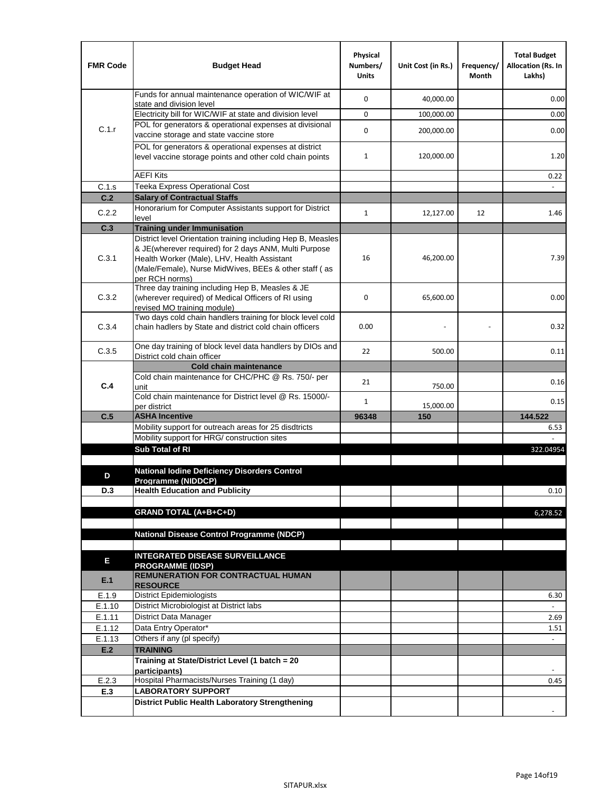| <b>FMR Code</b> | <b>Budget Head</b>                                                                                                                                                              | Physical<br>Numbers/<br><b>Units</b> | Unit Cost (in Rs.) | Frequency/<br>Month | <b>Total Budget</b><br>Allocation (Rs. In<br>Lakhs) |
|-----------------|---------------------------------------------------------------------------------------------------------------------------------------------------------------------------------|--------------------------------------|--------------------|---------------------|-----------------------------------------------------|
|                 | Funds for annual maintenance operation of WIC/WIF at<br>state and division level                                                                                                | 0                                    | 40,000.00          |                     | 0.00                                                |
|                 | Electricity bill for WIC/WIF at state and division level                                                                                                                        | 0                                    | 100,000.00         |                     | 0.00                                                |
| C.1.r           | POL for generators & operational expenses at divisional                                                                                                                         |                                      |                    |                     |                                                     |
|                 | vaccine storage and state vaccine store                                                                                                                                         | 0                                    | 200,000.00         |                     | 0.00                                                |
|                 | POL for generators & operational expenses at district<br>level vaccine storage points and other cold chain points                                                               | $\mathbf{1}$                         | 120,000.00         |                     | 1.20                                                |
|                 | <b>AEFI Kits</b>                                                                                                                                                                |                                      |                    |                     | 0.22                                                |
| C.1.s           | Teeka Express Operational Cost                                                                                                                                                  |                                      |                    |                     |                                                     |
| C.2             | <b>Salary of Contractual Staffs</b>                                                                                                                                             |                                      |                    |                     |                                                     |
| C.2.2           | Honorarium for Computer Assistants support for District                                                                                                                         | $\mathbf{1}$                         | 12,127.00          | 12                  | 1.46                                                |
| C.3             | level<br><b>Training under Immunisation</b>                                                                                                                                     |                                      |                    |                     |                                                     |
|                 | District level Orientation training including Hep B, Measles                                                                                                                    |                                      |                    |                     |                                                     |
| C.3.1           | & JE(wherever required) for 2 days ANM, Multi Purpose<br>Health Worker (Male), LHV, Health Assistant<br>(Male/Female), Nurse MidWives, BEEs & other staff (as<br>per RCH norms) | 16                                   | 46,200.00          |                     | 7.39                                                |
| C.3.2           | Three day training including Hep B, Measles & JE<br>(wherever required) of Medical Officers of RI using<br>revised MO training module)                                          | 0                                    | 65,600.00          |                     | 0.00                                                |
| C.3.4           | Two days cold chain handlers training for block level cold<br>chain hadlers by State and district cold chain officers                                                           | 0.00                                 |                    |                     | 0.32                                                |
| C.3.5           | One day training of block level data handlers by DIOs and<br>District cold chain officer                                                                                        | 22                                   | 500.00             |                     | 0.11                                                |
|                 | <b>Cold chain maintenance</b>                                                                                                                                                   |                                      |                    |                     |                                                     |
|                 | Cold chain maintenance for CHC/PHC @ Rs. 750/- per                                                                                                                              | 21                                   |                    |                     | 0.16                                                |
| C.4             | unit                                                                                                                                                                            |                                      | 750.00             |                     |                                                     |
|                 | Cold chain maintenance for District level @ Rs. 15000/-<br>per district                                                                                                         | 1                                    | 15,000.00          |                     | 0.15                                                |
| C.5             | <b>ASHA Incentive</b>                                                                                                                                                           | 96348                                | 150                |                     | 144.522                                             |
|                 | Mobility support for outreach areas for 25 disdtricts                                                                                                                           |                                      |                    |                     | 6.53                                                |
|                 | Mobility support for HRG/ construction sites                                                                                                                                    |                                      |                    |                     |                                                     |
|                 | Sub Total of RI                                                                                                                                                                 |                                      |                    |                     | 322.04954                                           |
|                 | <b>National lodine Deficiency Disorders Control</b>                                                                                                                             |                                      |                    |                     |                                                     |
| D               | Programme (NIDDCP)                                                                                                                                                              |                                      |                    |                     |                                                     |
| D.3             | <b>Health Education and Publicity</b>                                                                                                                                           |                                      |                    |                     | 0.10                                                |
|                 |                                                                                                                                                                                 |                                      |                    |                     |                                                     |
|                 | <b>GRAND TOTAL (A+B+C+D)</b>                                                                                                                                                    |                                      |                    |                     | 6,278.52                                            |
|                 | National Disease Control Programme (NDCP)                                                                                                                                       |                                      |                    |                     |                                                     |
|                 |                                                                                                                                                                                 |                                      |                    |                     |                                                     |
|                 | <b>INTEGRATED DISEASE SURVEILLANCE</b>                                                                                                                                          |                                      |                    |                     |                                                     |
| Е<br>E.1        | <b>PROGRAMME (IDSP)</b><br><b>REMUNERATION FOR CONTRACTUAL HUMAN</b><br><b>RESOURCE</b>                                                                                         |                                      |                    |                     |                                                     |
| E.1.9           | District Epidemiologists                                                                                                                                                        |                                      |                    |                     | 6.30                                                |
| E.1.10          | District Microbiologist at District labs                                                                                                                                        |                                      |                    |                     |                                                     |
| E.1.11          | District Data Manager                                                                                                                                                           |                                      |                    |                     | 2.69                                                |
| E.1.12          | Data Entry Operator*                                                                                                                                                            |                                      |                    |                     | 1.51                                                |
| E.1.13          | Others if any (pl specify)                                                                                                                                                      |                                      |                    |                     | $\omega$                                            |
| E.2             | <b>TRAINING</b>                                                                                                                                                                 |                                      |                    |                     |                                                     |
|                 | Training at State/District Level (1 batch = 20<br>participants)                                                                                                                 |                                      |                    |                     |                                                     |
| E.2.3           | Hospital Pharmacists/Nurses Training (1 day)                                                                                                                                    |                                      |                    |                     | 0.45                                                |
| E.3             | <b>LABORATORY SUPPORT</b>                                                                                                                                                       |                                      |                    |                     |                                                     |
|                 | <b>District Public Health Laboratory Strengthening</b>                                                                                                                          |                                      |                    |                     |                                                     |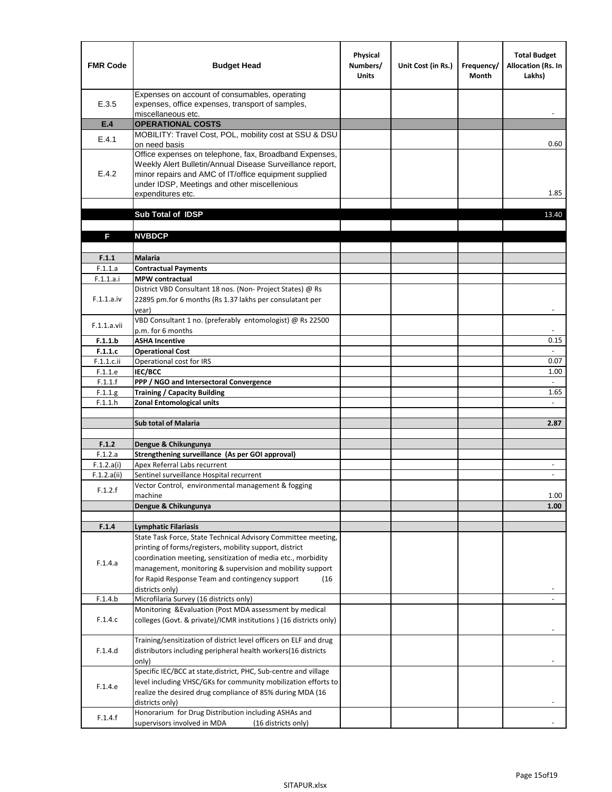| <b>FMR Code</b>       | <b>Budget Head</b>                                                                                                                                                                                                                                | Physical<br>Numbers/<br><b>Units</b> | Unit Cost (in Rs.) | Frequency/<br><b>Month</b> | <b>Total Budget</b><br>Allocation (Rs. In<br>Lakhs) |
|-----------------------|---------------------------------------------------------------------------------------------------------------------------------------------------------------------------------------------------------------------------------------------------|--------------------------------------|--------------------|----------------------------|-----------------------------------------------------|
| E.3.5                 | Expenses on account of consumables, operating<br>expenses, office expenses, transport of samples,<br>miscellaneous etc.                                                                                                                           |                                      |                    |                            |                                                     |
| E.4                   | <b>OPERATIONAL COSTS</b>                                                                                                                                                                                                                          |                                      |                    |                            |                                                     |
| E.4.1                 | MOBILITY: Travel Cost, POL, mobility cost at SSU & DSU                                                                                                                                                                                            |                                      |                    |                            |                                                     |
|                       | on need basis                                                                                                                                                                                                                                     |                                      |                    |                            | 0.60                                                |
| E.4.2                 | Office expenses on telephone, fax, Broadband Expenses,<br>Weekly Alert Bulletin/Annual Disease Surveillance report,<br>minor repairs and AMC of IT/office equipment supplied<br>under IDSP, Meetings and other miscellenious<br>expenditures etc. |                                      |                    |                            | 1.85                                                |
|                       | Sub Total of IDSP                                                                                                                                                                                                                                 |                                      |                    |                            | 13.40                                               |
|                       |                                                                                                                                                                                                                                                   |                                      |                    |                            |                                                     |
| F                     | <b>NVBDCP</b>                                                                                                                                                                                                                                     |                                      |                    |                            |                                                     |
|                       |                                                                                                                                                                                                                                                   |                                      |                    |                            |                                                     |
| F.1.1                 | <b>Malaria</b>                                                                                                                                                                                                                                    |                                      |                    |                            |                                                     |
| F.1.1.a               | <b>Contractual Payments</b>                                                                                                                                                                                                                       |                                      |                    |                            |                                                     |
| F.1.1.a.i             | <b>MPW</b> contractual<br>District VBD Consultant 18 nos. (Non-Project States) @ Rs                                                                                                                                                               |                                      |                    |                            |                                                     |
| F.1.1.a.iv            | 22895 pm.for 6 months (Rs 1.37 lakhs per consulatant per<br>year)                                                                                                                                                                                 |                                      |                    |                            | $\overline{\phantom{a}}$                            |
|                       | VBD Consultant 1 no. (preferably entomologist) @ Rs 22500                                                                                                                                                                                         |                                      |                    |                            |                                                     |
| F.1.1.a.vii           | p.m. for 6 months                                                                                                                                                                                                                                 |                                      |                    |                            |                                                     |
| F.1.1.b               | <b>ASHA Incentive</b>                                                                                                                                                                                                                             |                                      |                    |                            | 0.15                                                |
| F.1.1.c               | <b>Operational Cost</b>                                                                                                                                                                                                                           |                                      |                    |                            |                                                     |
| $F.1.1.c.$ ii         | Operational cost for IRS                                                                                                                                                                                                                          |                                      |                    |                            | 0.07                                                |
| F.1.1.e<br>F.1.1.f    | <b>IEC/BCC</b><br>PPP / NGO and Intersectoral Convergence                                                                                                                                                                                         |                                      |                    |                            | 1.00<br>$\mathbb{L}$                                |
| F.1.1.g               | <b>Training / Capacity Building</b>                                                                                                                                                                                                               |                                      |                    |                            | 1.65                                                |
| F.1.1.h               | <b>Zonal Entomological units</b>                                                                                                                                                                                                                  |                                      |                    |                            |                                                     |
|                       |                                                                                                                                                                                                                                                   |                                      |                    |                            |                                                     |
|                       | <b>Sub total of Malaria</b>                                                                                                                                                                                                                       |                                      |                    |                            | 2.87                                                |
|                       |                                                                                                                                                                                                                                                   |                                      |                    |                            |                                                     |
| F.1.2                 | Dengue & Chikungunya                                                                                                                                                                                                                              |                                      |                    |                            |                                                     |
| F.1.2.a<br>F.1.2.a(i) | Strengthening surveillance (As per GOI approval)<br>Apex Referral Labs recurrent                                                                                                                                                                  |                                      |                    |                            |                                                     |
| F.1.2.a(ii)           | Sentinel surveillance Hospital recurrent                                                                                                                                                                                                          |                                      |                    |                            | $\sim$                                              |
|                       | Vector Control, environmental management & fogging                                                                                                                                                                                                |                                      |                    |                            |                                                     |
| F.1.2.f               | machine                                                                                                                                                                                                                                           |                                      |                    |                            | 1.00                                                |
|                       | Dengue & Chikungunya                                                                                                                                                                                                                              |                                      |                    |                            | 1.00                                                |
|                       |                                                                                                                                                                                                                                                   |                                      |                    |                            |                                                     |
| F.1.4                 | <b>Lymphatic Filariasis</b>                                                                                                                                                                                                                       |                                      |                    |                            |                                                     |
|                       | State Task Force, State Technical Advisory Committee meeting,<br>printing of forms/registers, mobility support, district                                                                                                                          |                                      |                    |                            |                                                     |
|                       | coordination meeting, sensitization of media etc., morbidity                                                                                                                                                                                      |                                      |                    |                            |                                                     |
| F.1.4.a               | management, monitoring & supervision and mobility support                                                                                                                                                                                         |                                      |                    |                            |                                                     |
|                       | for Rapid Response Team and contingency support<br>(16)                                                                                                                                                                                           |                                      |                    |                            |                                                     |
|                       | districts only)                                                                                                                                                                                                                                   |                                      |                    |                            |                                                     |
| F.1.4.b               | Microfilaria Survey (16 districts only)                                                                                                                                                                                                           |                                      |                    |                            |                                                     |
| F.1.4.c               | Monitoring & Evaluation (Post MDA assessment by medical<br>colleges (Govt. & private)/ICMR institutions ) (16 districts only)                                                                                                                     |                                      |                    |                            |                                                     |
|                       | Training/sensitization of district level officers on ELF and drug                                                                                                                                                                                 |                                      |                    |                            |                                                     |
| F.1.4.d               | distributors including peripheral health workers(16 districts                                                                                                                                                                                     |                                      |                    |                            |                                                     |
|                       | only)                                                                                                                                                                                                                                             |                                      |                    |                            |                                                     |
|                       | Specific IEC/BCC at state, district, PHC, Sub-centre and village                                                                                                                                                                                  |                                      |                    |                            |                                                     |
| F.1.4.e               | level including VHSC/GKs for community mobilization efforts to                                                                                                                                                                                    |                                      |                    |                            |                                                     |
|                       | realize the desired drug compliance of 85% during MDA (16                                                                                                                                                                                         |                                      |                    |                            |                                                     |
|                       | districts only)                                                                                                                                                                                                                                   |                                      |                    |                            |                                                     |
| F.1.4.f               | Honorarium for Drug Distribution including ASHAs and<br>supervisors involved in MDA<br>(16 districts only)                                                                                                                                        |                                      |                    |                            |                                                     |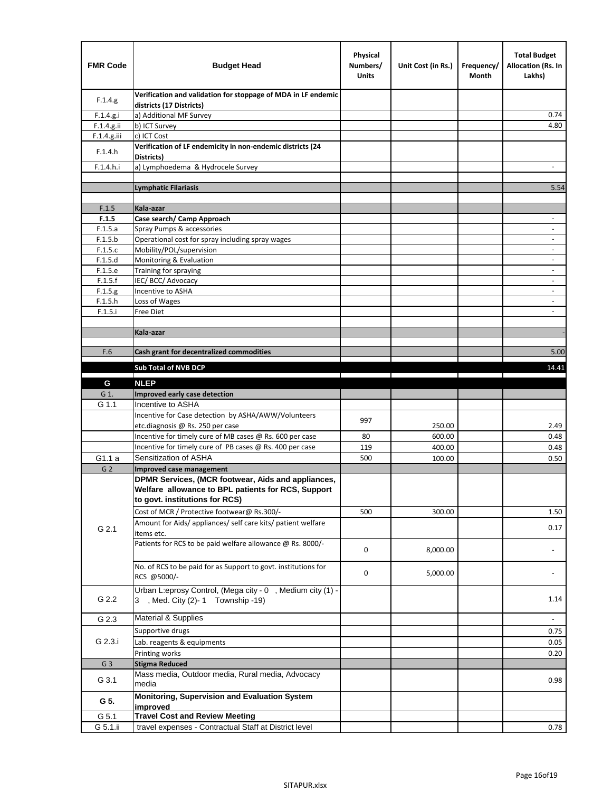| <b>FMR Code</b> | <b>Budget Head</b>                                                                                                                         | Physical<br>Numbers/<br><b>Units</b> | Unit Cost (in Rs.) | Frequency/<br>Month | <b>Total Budget</b><br>Allocation (Rs. In<br>Lakhs) |
|-----------------|--------------------------------------------------------------------------------------------------------------------------------------------|--------------------------------------|--------------------|---------------------|-----------------------------------------------------|
| F.1.4.g.        | Verification and validation for stoppage of MDA in LF endemic<br>districts (17 Districts)                                                  |                                      |                    |                     |                                                     |
| F.1.4.g.i       | a) Additional MF Survey                                                                                                                    |                                      |                    |                     | 0.74                                                |
| F.1.4.g.ii      | b) ICT Survey                                                                                                                              |                                      |                    |                     | 4.80                                                |
| F.1.4.g.iii     | c) ICT Cost                                                                                                                                |                                      |                    |                     |                                                     |
| F.1.4.h         | Verification of LF endemicity in non-endemic districts (24<br>Districts)                                                                   |                                      |                    |                     |                                                     |
| F.1.4.h.i       | a) Lymphoedema & Hydrocele Survey                                                                                                          |                                      |                    |                     |                                                     |
|                 | <b>Lymphatic Filariasis</b>                                                                                                                |                                      |                    |                     | 5.54                                                |
|                 |                                                                                                                                            |                                      |                    |                     |                                                     |
| F.1.5           | Kala-azar                                                                                                                                  |                                      |                    |                     |                                                     |
| F.1.5           | Case search/ Camp Approach                                                                                                                 |                                      |                    |                     | $\overline{\phantom{a}}$                            |
| F.1.5.a         | Spray Pumps & accessories                                                                                                                  |                                      |                    |                     | $\overline{\phantom{a}}$                            |
| F.1.5.b         | Operational cost for spray including spray wages                                                                                           |                                      |                    |                     |                                                     |
| F.1.5.c         | Mobility/POL/supervision                                                                                                                   |                                      |                    |                     | $\blacksquare$                                      |
| F.1.5.d         | Monitoring & Evaluation                                                                                                                    |                                      |                    |                     |                                                     |
| F.1.5.e         | Training for spraying                                                                                                                      |                                      |                    |                     | $\overline{\phantom{a}}$                            |
| F.1.5.f         | IEC/BCC/Advocacy                                                                                                                           |                                      |                    |                     |                                                     |
| F.1.5.g         | Incentive to ASHA                                                                                                                          |                                      |                    |                     | $\overline{\phantom{a}}$                            |
| F.1.5.h         | Loss of Wages                                                                                                                              |                                      |                    |                     | $\overline{\phantom{a}}$                            |
| F.1.5.i         | Free Diet                                                                                                                                  |                                      |                    |                     |                                                     |
|                 | Kala-azar                                                                                                                                  |                                      |                    |                     |                                                     |
|                 |                                                                                                                                            |                                      |                    |                     |                                                     |
| F.6             | Cash grant for decentralized commodities                                                                                                   |                                      |                    |                     | 5.00                                                |
|                 |                                                                                                                                            |                                      |                    |                     |                                                     |
|                 | <b>Sub Total of NVB DCP</b>                                                                                                                |                                      |                    |                     | 14.41                                               |
| G               | <b>NLEP</b>                                                                                                                                |                                      |                    |                     |                                                     |
| G 1.            | Improved early case detection                                                                                                              |                                      |                    |                     |                                                     |
| G 1.1           | Incentive to ASHA                                                                                                                          |                                      |                    |                     |                                                     |
|                 | Incentive for Case detection by ASHA/AWW/Volunteers                                                                                        | 997                                  |                    |                     |                                                     |
|                 | etc.diagnosis @ Rs. 250 per case                                                                                                           |                                      | 250.00             |                     | 2.49                                                |
|                 | Incentive for timely cure of MB cases @ Rs. 600 per case                                                                                   | 80                                   | 600.00             |                     | 0.48                                                |
|                 | Incentive for timely cure of PB cases @ Rs. 400 per case                                                                                   | 119                                  | 400.00             |                     | 0.48                                                |
| G1.1 a          | Sensitization of ASHA                                                                                                                      | 500                                  | 100.00             |                     | 0.50                                                |
| G <sub>2</sub>  | Improved case management                                                                                                                   |                                      |                    |                     |                                                     |
|                 | DPMR Services, (MCR footwear, Aids and appliances,<br>Welfare allowance to BPL patients for RCS, Support<br>to govt. institutions for RCS) |                                      |                    |                     |                                                     |
|                 | Cost of MCR / Protective footwear@ Rs.300/-                                                                                                | 500                                  | 300.00             |                     | 1.50                                                |
| G 2.1           | Amount for Aids/ appliances/ self care kits/ patient welfare<br>items etc.                                                                 |                                      |                    |                     | 0.17                                                |
|                 | Patients for RCS to be paid welfare allowance @ Rs. 8000/-                                                                                 | 0                                    | 8,000.00           |                     |                                                     |
|                 | No. of RCS to be paid for as Support to govt. institutions for<br>RCS @5000/-                                                              | 0                                    | 5,000.00           |                     |                                                     |
| G 2.2           | Urban L:eprosy Control, (Mega city - 0, Medium city (1) -<br>3 , Med. City (2)-1 Township -19)                                             |                                      |                    |                     | 1.14                                                |
| G 2.3           | <b>Material &amp; Supplies</b>                                                                                                             |                                      |                    |                     | $\overline{\phantom{a}}$                            |
|                 | Supportive drugs                                                                                                                           |                                      |                    |                     | 0.75                                                |
| G 2.3.i         | Lab. reagents & equipments                                                                                                                 |                                      |                    |                     | 0.05                                                |
|                 | Printing works                                                                                                                             |                                      |                    |                     | 0.20                                                |
| G <sub>3</sub>  | <b>Stigma Reduced</b>                                                                                                                      |                                      |                    |                     |                                                     |
|                 | Mass media, Outdoor media, Rural media, Advocacy                                                                                           |                                      |                    |                     |                                                     |
| G 3.1           | media<br>Monitoring, Supervision and Evaluation System                                                                                     |                                      |                    |                     | 0.98                                                |
| G 5.            | improved                                                                                                                                   |                                      |                    |                     |                                                     |
| G 5.1           | <b>Travel Cost and Review Meeting</b>                                                                                                      |                                      |                    |                     |                                                     |
| G 5.1.ii        | travel expenses - Contractual Staff at District level                                                                                      |                                      |                    |                     | 0.78                                                |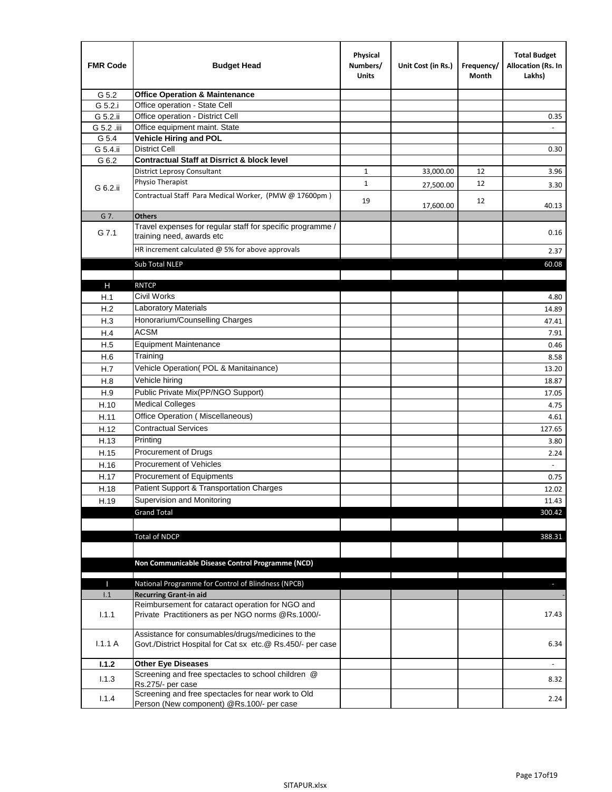| <b>FMR Code</b> | <b>Budget Head</b>                                                                      | Physical<br>Numbers/<br><b>Units</b> | Unit Cost (in Rs.) | Frequency/<br>Month | <b>Total Budget</b><br>Allocation (Rs. In<br>Lakhs) |
|-----------------|-----------------------------------------------------------------------------------------|--------------------------------------|--------------------|---------------------|-----------------------------------------------------|
| G 5.2           | <b>Office Operation &amp; Maintenance</b>                                               |                                      |                    |                     |                                                     |
| G 5.2.i         | Office operation - State Cell                                                           |                                      |                    |                     |                                                     |
| G 5.2.ii        | Office operation - District Cell                                                        |                                      |                    |                     | 0.35                                                |
| G 5.2 .iii      | Office equipment maint. State                                                           |                                      |                    |                     |                                                     |
| G 5.4           | <b>Vehicle Hiring and POL</b>                                                           |                                      |                    |                     |                                                     |
| G 5.4.ii        | <b>District Cell</b>                                                                    |                                      |                    |                     | 0.30                                                |
| G 6.2           | <b>Contractual Staff at Disrrict &amp; block level</b>                                  |                                      |                    |                     |                                                     |
|                 | <b>District Leprosy Consultant</b>                                                      | $\mathbf{1}$                         | 33,000.00          | 12                  | 3.96                                                |
| G 6.2.ii        | Physio Therapist                                                                        | $\mathbf{1}$                         | 27,500.00          | 12                  | 3.30                                                |
|                 | Contractual Staff Para Medical Worker, (PMW @ 17600pm)                                  | 19                                   | 17,600.00          | 12                  | 40.13                                               |
| G 7.            | <b>Others</b>                                                                           |                                      |                    |                     |                                                     |
| G 7.1           | Travel expenses for regular staff for specific programme /<br>training need, awards etc |                                      |                    |                     | 0.16                                                |
|                 | HR increment calculated $@$ 5% for above approvals                                      |                                      |                    |                     | 2.37                                                |
|                 | Sub Total NLEP                                                                          |                                      |                    |                     | 60.08                                               |
|                 |                                                                                         |                                      |                    |                     |                                                     |
| $\mathsf{H}$    | <b>RNTCP</b>                                                                            |                                      |                    |                     |                                                     |
| H.1             | <b>Civil Works</b>                                                                      |                                      |                    |                     | 4.80                                                |
| H.2             | Laboratory Materials                                                                    |                                      |                    |                     | 14.89                                               |
| H.3             | Honorarium/Counselling Charges                                                          |                                      |                    |                     | 47.41                                               |
| H.4             | <b>ACSM</b>                                                                             |                                      |                    |                     | 7.91                                                |
| H.5             | <b>Equipment Maintenance</b>                                                            |                                      |                    |                     | 0.46                                                |
| H.6             | Training                                                                                |                                      |                    |                     | 8.58                                                |
| H.7             | Vehicle Operation(POL & Manitainance)                                                   |                                      |                    |                     | 13.20                                               |
| H.8             | Vehicle hiring                                                                          |                                      |                    |                     | 18.87                                               |
| H.9             | Public Private Mix(PP/NGO Support)                                                      |                                      |                    |                     | 17.05                                               |
| H.10            | <b>Medical Colleges</b>                                                                 |                                      |                    |                     | 4.75                                                |
| H.11            | Office Operation (Miscellaneous)                                                        |                                      |                    |                     | 4.61                                                |
| H.12            | <b>Contractual Services</b>                                                             |                                      |                    |                     | 127.65                                              |
| H.13            | Printing                                                                                |                                      |                    |                     | 3.80                                                |
| H.15            | Procurement of Drugs                                                                    |                                      |                    |                     | 2.24                                                |
| H.16            | Procurement of Vehicles                                                                 |                                      |                    |                     | $\sim$                                              |
| H.17            | Procurement of Equipments                                                               |                                      |                    |                     | 0.75                                                |
| H.18            | Patient Support & Transportation Charges                                                |                                      |                    |                     | 12.02                                               |
| H.19            | Supervision and Monitoring                                                              |                                      |                    |                     | 11.43                                               |
|                 | <b>Grand Total</b>                                                                      |                                      |                    |                     | 300.42                                              |
|                 |                                                                                         |                                      |                    |                     |                                                     |
|                 | <b>Total of NDCP</b>                                                                    |                                      |                    |                     | 388.31                                              |
|                 |                                                                                         |                                      |                    |                     |                                                     |
|                 | Non Communicable Disease Control Programme (NCD)                                        |                                      |                    |                     |                                                     |
|                 |                                                                                         |                                      |                    |                     |                                                     |
| Ш               | National Programme for Control of Blindness (NPCB)                                      |                                      |                    |                     | ÷.                                                  |
| 1.1             | <b>Recurring Grant-in aid</b>                                                           |                                      |                    |                     |                                                     |
| 1.1.1           | Reimbursement for cataract operation for NGO and                                        |                                      |                    |                     |                                                     |
|                 | Private Practitioners as per NGO norms @Rs.1000/-                                       |                                      |                    |                     | 17.43                                               |
|                 | Assistance for consumables/drugs/medicines to the                                       |                                      |                    |                     |                                                     |
| 1.1.1A          | Govt./District Hospital for Cat sx etc.@ Rs.450/- per case                              |                                      |                    |                     | 6.34                                                |
| 1.1.2           | <b>Other Eye Diseases</b>                                                               |                                      |                    |                     |                                                     |
| 1.1.3           | Screening and free spectacles to school children @                                      |                                      |                    |                     | 8.32                                                |
|                 | Rs.275/- per case                                                                       |                                      |                    |                     |                                                     |
| 1.1.4           | Screening and free spectacles for near work to Old                                      |                                      |                    |                     | 2.24                                                |
|                 | Person (New component) @Rs.100/- per case                                               |                                      |                    |                     |                                                     |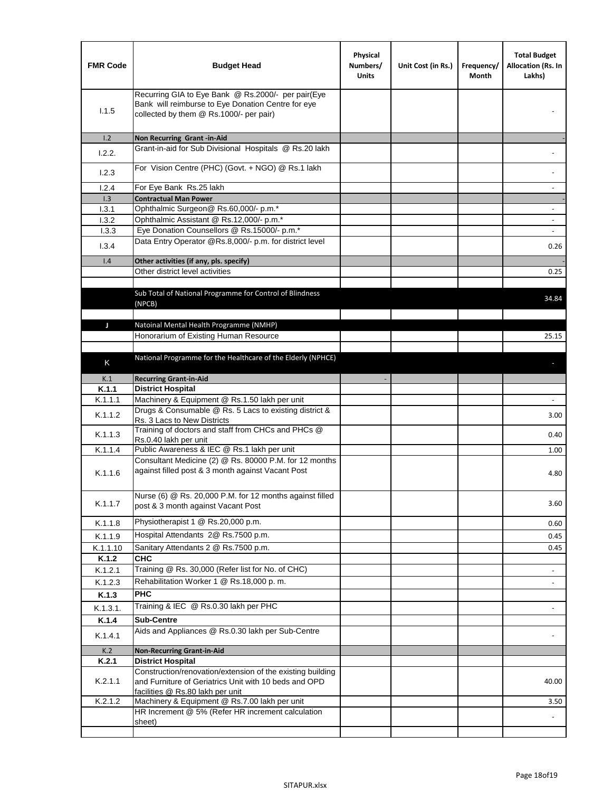| <b>FMR Code</b> | <b>Budget Head</b>                                                                                                                                      | Physical<br>Numbers/<br><b>Units</b> | Unit Cost (in Rs.) | Frequency/<br>Month | <b>Total Budget</b><br>Allocation (Rs. In<br>Lakhs) |
|-----------------|---------------------------------------------------------------------------------------------------------------------------------------------------------|--------------------------------------|--------------------|---------------------|-----------------------------------------------------|
| 1.1.5           | Recurring GIA to Eye Bank @ Rs.2000/- per pair(Eye<br>Bank will reimburse to Eye Donation Centre for eye<br>collected by them @ Rs.1000/- per pair)     |                                      |                    |                     |                                                     |
| 1.2             | Non Recurring Grant -in-Aid                                                                                                                             |                                      |                    |                     |                                                     |
| 1.2.2.          | Grant-in-aid for Sub Divisional Hospitals @ Rs.20 lakh                                                                                                  |                                      |                    |                     |                                                     |
| 1.2.3           | For Vision Centre (PHC) (Govt. + NGO) @ Rs.1 lakh                                                                                                       |                                      |                    |                     |                                                     |
| 1.2.4           | For Eye Bank Rs.25 lakh                                                                                                                                 |                                      |                    |                     | $\overline{\phantom{a}}$                            |
| 1.3             | <b>Contractual Man Power</b>                                                                                                                            |                                      |                    |                     |                                                     |
| 1.3.1           | Ophthalmic Surgeon@ Rs.60,000/- p.m.*                                                                                                                   |                                      |                    |                     | $\sim$                                              |
| 1.3.2<br>1.3.3  | Ophthalmic Assistant @ Rs.12,000/- p.m.*<br>Eye Donation Counsellors @ Rs.15000/- p.m.*                                                                 |                                      |                    |                     | $\sim$                                              |
|                 | Data Entry Operator @Rs.8,000/- p.m. for district level                                                                                                 |                                      |                    |                     |                                                     |
| 1.3.4           |                                                                                                                                                         |                                      |                    |                     | 0.26                                                |
| 1.4             | Other activities (if any, pls. specify)                                                                                                                 |                                      |                    |                     |                                                     |
|                 | Other district level activities                                                                                                                         |                                      |                    |                     | 0.25                                                |
|                 | Sub Total of National Programme for Control of Blindness<br>(NPCB)                                                                                      |                                      |                    |                     | 34.84                                               |
| J               | Natoinal Mental Health Programme (NMHP)                                                                                                                 |                                      |                    |                     |                                                     |
|                 | Honorarium of Existing Human Resource                                                                                                                   |                                      |                    |                     | 25.15                                               |
|                 |                                                                                                                                                         |                                      |                    |                     |                                                     |
| K               | National Programme for the Healthcare of the Elderly (NPHCE)                                                                                            |                                      |                    |                     |                                                     |
|                 |                                                                                                                                                         |                                      |                    |                     |                                                     |
| K.1             | <b>Recurring Grant-in-Aid</b>                                                                                                                           |                                      |                    |                     |                                                     |
| K.1.1           | <b>District Hospital</b><br>Machinery & Equipment @ Rs.1.50 lakh per unit                                                                               |                                      |                    |                     |                                                     |
| K.1.1.1         | Drugs & Consumable @ Rs. 5 Lacs to existing district &                                                                                                  |                                      |                    |                     |                                                     |
| K.1.1.2         | Rs. 3 Lacs to New Districts                                                                                                                             |                                      |                    |                     | 3.00                                                |
| K.1.1.3         | Training of doctors and staff from CHCs and PHCs @<br>Rs.0.40 lakh per unit                                                                             |                                      |                    |                     | 0.40                                                |
| K.1.1.4         | Public Awareness & IEC @ Rs.1 lakh per unit                                                                                                             |                                      |                    |                     | 1.00                                                |
| K.1.1.6         | Consultant Medicine (2) @ Rs. 80000 P.M. for 12 months<br>against filled post & 3 month against Vacant Post                                             |                                      |                    |                     | 4.80                                                |
| K.1.1.7         | Nurse (6) @ Rs. 20,000 P.M. for 12 months against filled<br>post & 3 month against Vacant Post                                                          |                                      |                    |                     | 3.60                                                |
| K.1.1.8         | Physiotherapist 1 @ Rs.20,000 p.m.                                                                                                                      |                                      |                    |                     | 0.60                                                |
| K.1.1.9         | Hospital Attendants 2@ Rs.7500 p.m.                                                                                                                     |                                      |                    |                     | 0.45                                                |
| K.1.1.10        | Sanitary Attendants 2 @ Rs.7500 p.m.                                                                                                                    |                                      |                    |                     | 0.45                                                |
| K.1.2           | <b>CHC</b>                                                                                                                                              |                                      |                    |                     |                                                     |
| K.1.2.1         | Training @ Rs. 30,000 (Refer list for No. of CHC)                                                                                                       |                                      |                    |                     |                                                     |
| K.1.2.3         | Rehabilitation Worker 1 @ Rs.18,000 p. m.                                                                                                               |                                      |                    |                     |                                                     |
| K.1.3           | <b>PHC</b>                                                                                                                                              |                                      |                    |                     |                                                     |
| K.1.3.1.        | Training & IEC @ Rs.0.30 lakh per PHC                                                                                                                   |                                      |                    |                     |                                                     |
| K.1.4           | <b>Sub-Centre</b>                                                                                                                                       |                                      |                    |                     |                                                     |
|                 | Aids and Appliances @ Rs.0.30 lakh per Sub-Centre                                                                                                       |                                      |                    |                     |                                                     |
| K.1.4.1         |                                                                                                                                                         |                                      |                    |                     |                                                     |
| K.2             | <b>Non-Recurring Grant-in-Aid</b>                                                                                                                       |                                      |                    |                     |                                                     |
| K.2.1           | <b>District Hospital</b>                                                                                                                                |                                      |                    |                     |                                                     |
| K.2.1.1         | Construction/renovation/extension of the existing building<br>and Furniture of Geriatrics Unit with 10 beds and OPD<br>facilities @ Rs.80 lakh per unit |                                      |                    |                     | 40.00                                               |
| K.2.1.2         | Machinery & Equipment @ Rs.7.00 lakh per unit                                                                                                           |                                      |                    |                     | 3.50                                                |
|                 | HR Increment @ 5% (Refer HR increment calculation                                                                                                       |                                      |                    |                     |                                                     |
|                 | sheet)                                                                                                                                                  |                                      |                    |                     |                                                     |